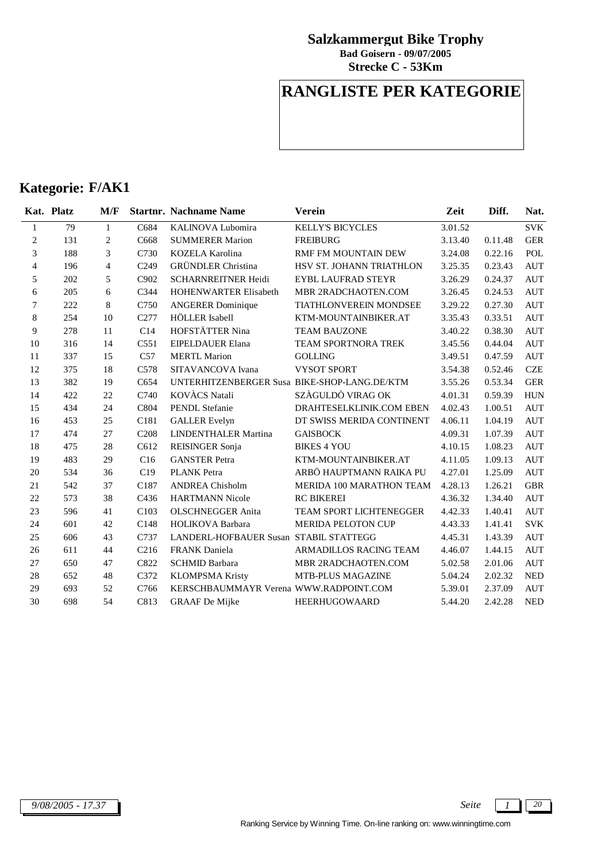**Strecke C - 53Km Bad Goisern - 09/07/2005**

## **RANGLISTE PER KATEGORIE**

|                | Kat. Platz | M/F            |                  | <b>Startnr. Nachname Name</b>                | Verein                        | Zeit    | Diff.   | Nat.               |
|----------------|------------|----------------|------------------|----------------------------------------------|-------------------------------|---------|---------|--------------------|
| 1              | 79         | $\mathbf{1}$   | C684             | KALINOVA Lubomira                            | <b>KELLY'S BICYCLES</b>       | 3.01.52 |         | <b>SVK</b>         |
| 2              | 131        | $\overline{c}$ | C668             | <b>SUMMERER Marion</b>                       | <b>FREIBURG</b>               | 3.13.40 | 0.11.48 | <b>GER</b>         |
| 3              | 188        | 3              | C730             | <b>KOZELA Karolina</b>                       | <b>RMF FM MOUNTAIN DEW</b>    | 3.24.08 | 0.22.16 | <b>POL</b>         |
| $\overline{4}$ | 196        | $\overline{4}$ | C <sub>249</sub> | <b>GRÜNDLER</b> Christina                    | HSV ST. JOHANN TRIATHLON      | 3.25.35 | 0.23.43 | <b>AUT</b>         |
| 5              | 202        | 5              | C902             | <b>SCHARNREITNER Heidi</b>                   | <b>EYBL LAUFRAD STEYR</b>     | 3.26.29 | 0.24.37 | <b>AUT</b>         |
| 6              | 205        | 6              | C344             | <b>HOHENWARTER Elisabeth</b>                 | MBR 2RADCHAOTEN.COM           | 3.26.45 | 0.24.53 | <b>AUT</b>         |
| 7              | 222        | 8              | C750             | <b>ANGERER Dominique</b>                     | <b>TIATHLONVEREIN MONDSEE</b> | 3.29.22 | 0.27.30 | <b>AUT</b>         |
| $\,8\,$        | 254        | 10             | C277             | HÖLLER Isabell                               | KTM-MOUNTAINBIKER.AT          | 3.35.43 | 0.33.51 | <b>AUT</b>         |
| 9              | 278        | 11             | C14              | HOFSTÄTTER Nina                              | <b>TEAM BAUZONE</b>           | 3.40.22 | 0.38.30 | <b>AUT</b>         |
| 10             | 316        | 14             | C551             | EIPELDAUER Elana                             | TEAM SPORTNORA TREK           | 3.45.56 | 0.44.04 | <b>AUT</b>         |
| 11             | 337        | 15             | C57              | <b>MERTL Marion</b>                          | <b>GOLLING</b>                | 3.49.51 | 0.47.59 | <b>AUT</b>         |
| 12             | 375        | 18             | C <sub>578</sub> | SITAVANCOVA Ivana                            | <b>VYSOT SPORT</b>            | 3.54.38 | 0.52.46 | <b>CZE</b>         |
| 13             | 382        | 19             | C654             | UNTERHITZENBERGER Susa BIKE-SHOP-LANG.DE/KTM |                               | 3.55.26 | 0.53.34 | <b>GER</b>         |
| 14             | 422        | 22             | C740             | <b>KOVACS</b> Natali                         | SZÀGULDÒ VIRAG OK             | 4.01.31 | 0.59.39 | <b>HUN</b>         |
| 15             | 434        | 24             | C804             | <b>PENDL</b> Stefanie                        | DRAHTESELKLINIK.COM EBEN      | 4.02.43 | 1.00.51 | <b>AUT</b>         |
| 16             | 453        | 25             | C181             | <b>GALLER</b> Evelyn                         | DT SWISS MERIDA CONTINENT     | 4.06.11 | 1.04.19 | <b>AUT</b>         |
| 17             | 474        | 27             | C <sub>208</sub> | <b>LINDENTHALER Martina</b>                  | <b>GAISBOCK</b>               | 4.09.31 | 1.07.39 | $\mathop{\rm AUT}$ |
| 18             | 475        | 28             | C612             | <b>REISINGER Sonja</b>                       | <b>BIKES 4 YOU</b>            | 4.10.15 | 1.08.23 | <b>AUT</b>         |
| 19             | 483        | 29             | C16              | <b>GANSTER Petra</b>                         | KTM-MOUNTAINBIKER.AT          | 4.11.05 | 1.09.13 | <b>AUT</b>         |
| 20             | 534        | 36             | C19              | <b>PLANK</b> Petra                           | ARBÖ HAUPTMANN RAIKA PU       | 4.27.01 | 1.25.09 | <b>AUT</b>         |
| 21             | 542        | 37             | C187             | <b>ANDREA Chisholm</b>                       | MERIDA 100 MARATHON TEAM      | 4.28.13 | 1.26.21 | <b>GBR</b>         |
| 22             | 573        | 38             | C436             | <b>HARTMANN Nicole</b>                       | <b>RC BIKEREI</b>             | 4.36.32 | 1.34.40 | <b>AUT</b>         |
| 23             | 596        | 41             | C <sub>103</sub> | <b>OLSCHNEGGER Anita</b>                     | TEAM SPORT LICHTENEGGER       | 4.42.33 | 1.40.41 | <b>AUT</b>         |
| 24             | 601        | 42             | C148             | HOLIKOVA Barbara                             | <b>MERIDA PELOTON CUP</b>     | 4.43.33 | 1.41.41 | <b>SVK</b>         |
| 25             | 606        | 43             | C737             | LANDERL-HOFBAUER Susan STABIL STATTEGG       |                               | 4.45.31 | 1.43.39 | <b>AUT</b>         |
| 26             | 611        | 44             | C <sub>216</sub> | <b>FRANK</b> Daniela                         | ARMADILLOS RACING TEAM        | 4.46.07 | 1.44.15 | <b>AUT</b>         |
| 27             | 650        | 47             | C822             | <b>SCHMID Barbara</b>                        | MBR 2RADCHAOTEN.COM           | 5.02.58 | 2.01.06 | <b>AUT</b>         |
| 28             | 652        | 48             | C372             | <b>KLOMPSMA Kristy</b>                       | MTB-PLUS MAGAZINE             | 5.04.24 | 2.02.32 | <b>NED</b>         |
| 29             | 693        | 52             | C766             | KERSCHBAUMMAYR Verena WWW.RADPOINT.COM       |                               | 5.39.01 | 2.37.09 | <b>AUT</b>         |
| 30             | 698        | 54             | C813             | <b>GRAAF</b> De Mijke                        | <b>HEERHUGOWAARD</b>          | 5.44.20 | 2.42.28 | <b>NED</b>         |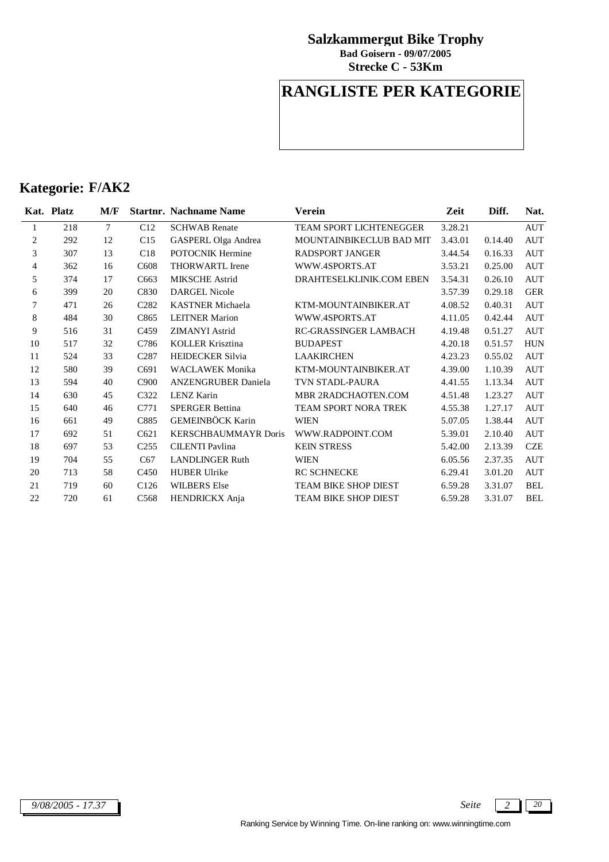**Strecke C - 53Km Bad Goisern - 09/07/2005**

## **RANGLISTE PER KATEGORIE**

|                | Kat. Platz | M/F    |                               | <b>Startnr. Nachname Name</b> | Verein                       | Zeit    | Diff.   | Nat.       |
|----------------|------------|--------|-------------------------------|-------------------------------|------------------------------|---------|---------|------------|
| 1              | 218        | $\tau$ | C12                           | <b>SCHWAB</b> Renate          | TEAM SPORT LICHTENEGGER      | 3.28.21 |         | <b>AUT</b> |
| $\overline{c}$ | 292        | 12     | C15                           | <b>GASPERL Olga Andrea</b>    | MOUNTAINBIKECLUB BAD MIT     | 3.43.01 | 0.14.40 | <b>AUT</b> |
| 3              | 307        | 13     | C18                           | <b>POTOCNIK Hermine</b>       | <b>RADSPORT JANGER</b>       | 3.44.54 | 0.16.33 | <b>AUT</b> |
| $\overline{4}$ | 362        | 16     | C <sub>608</sub>              | <b>THORWARTL</b> Irene        | WWW.4SPORTS.AT               | 3.53.21 | 0.25.00 | <b>AUT</b> |
| 5              | 374        | 17     | C663                          | <b>MIKSCHE</b> Astrid         | DRAHTESELKLINIK.COM EBEN     | 3.54.31 | 0.26.10 | <b>AUT</b> |
| 6              | 399        | 20     | C830                          | <b>DARGEL Nicole</b>          |                              | 3.57.39 | 0.29.18 | <b>GER</b> |
| 7              | 471        | 26     | C <sub>2</sub> 8 <sub>2</sub> | <b>KASTNER</b> Michaela       | KTM-MOUNTAINBIKER.AT         | 4.08.52 | 0.40.31 | <b>AUT</b> |
| 8              | 484        | 30     | C865                          | <b>LEITNER Marion</b>         | WWW.4SPORTS.AT               | 4.11.05 | 0.42.44 | <b>AUT</b> |
| 9              | 516        | 31     | C <sub>459</sub>              | <b>ZIMANYI</b> Astrid         | <b>RC-GRASSINGER LAMBACH</b> | 4.19.48 | 0.51.27 | <b>AUT</b> |
| 10             | 517        | 32     | C786                          | <b>KOLLER Krisztina</b>       | <b>BUDAPEST</b>              | 4.20.18 | 0.51.57 | <b>HUN</b> |
| 11             | 524        | 33     | C <sub>287</sub>              | <b>HEIDECKER Silvia</b>       | <b>LAAKIRCHEN</b>            | 4.23.23 | 0.55.02 | <b>AUT</b> |
| 12             | 580        | 39     | C <sub>691</sub>              | <b>WACLAWEK Monika</b>        | KTM-MOUNTAINBIKER.AT         | 4.39.00 | 1.10.39 | <b>AUT</b> |
| 13             | 594        | 40     | C <sub>900</sub>              | <b>ANZENGRUBER Daniela</b>    | TVN STADL-PAURA              | 4.41.55 | 1.13.34 | <b>AUT</b> |
| 14             | 630        | 45     | C322                          | LENZ Karin                    | MBR 2RADCHAOTEN.COM          | 4.51.48 | 1.23.27 | <b>AUT</b> |
| 15             | 640        | 46     | C771                          | <b>SPERGER Bettina</b>        | TEAM SPORT NORA TREK         | 4.55.38 | 1.27.17 | <b>AUT</b> |
| 16             | 661        | 49     | C885                          | GEMEINBÖCK Karin              | <b>WIEN</b>                  | 5.07.05 | 1.38.44 | AUT        |
| 17             | 692        | 51     | C <sub>621</sub>              | <b>KERSCHBAUMMAYR Doris</b>   | WWW.RADPOINT.COM             | 5.39.01 | 2.10.40 | <b>AUT</b> |
| 18             | 697        | 53     | C <sub>255</sub>              | <b>CILENTI Pavlina</b>        | <b>KEIN STRESS</b>           | 5.42.00 | 2.13.39 | <b>CZE</b> |
| 19             | 704        | 55     | C67                           | <b>LANDLINGER Ruth</b>        | <b>WIEN</b>                  | 6.05.56 | 2.37.35 | <b>AUT</b> |
| 20             | 713        | 58     | C <sub>450</sub>              | <b>HUBER Ulrike</b>           | <b>RC SCHNECKE</b>           | 6.29.41 | 3.01.20 | <b>AUT</b> |
| 21             | 719        | 60     | C <sub>126</sub>              | <b>WILBERS Else</b>           | TEAM BIKE SHOP DIEST         | 6.59.28 | 3.31.07 | <b>BEL</b> |
| 22             | 720        | 61     | C <sub>568</sub>              | HENDRICKX Anja                | <b>TEAM BIKE SHOP DIEST</b>  | 6.59.28 | 3.31.07 | <b>BEL</b> |

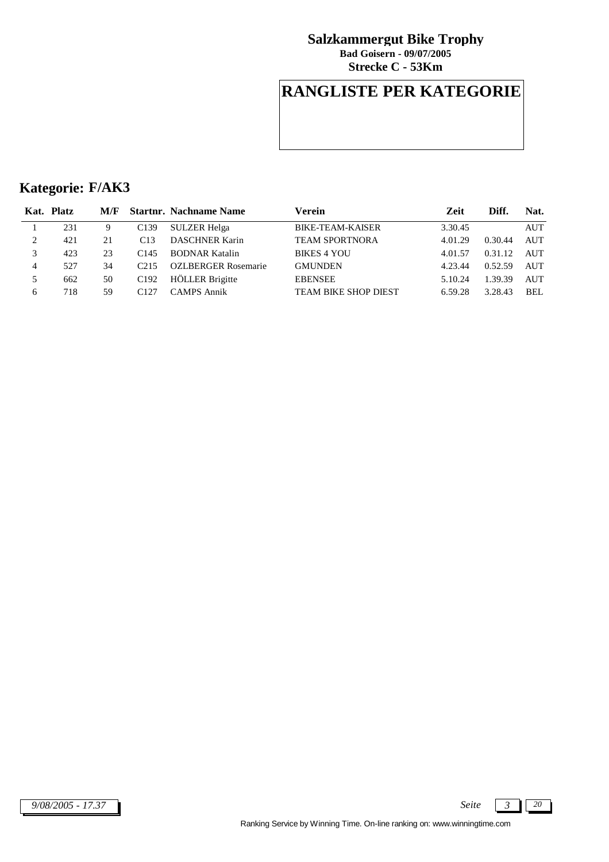**Strecke C - 53Km Bad Goisern - 09/07/2005**

## **RANGLISTE PER KATEGORIE**

|   | Kat. Platz | M/F |                  | <b>Startnr. Nachname Name</b> | Verein                      | Zeit    | Diff.   | Nat.       |
|---|------------|-----|------------------|-------------------------------|-----------------------------|---------|---------|------------|
|   | 231        | 9   | C <sub>139</sub> | <b>SULZER Helga</b>           | BIKE-TEAM-KAISER            | 3.30.45 |         | <b>AUT</b> |
| 2 | 421        | 21  | C13              | <b>DASCHNER Karin</b>         | <b>TEAM SPORTNORA</b>       | 4.01.29 | 0.30.44 | <b>AUT</b> |
|   | 423        | 23  | C <sub>145</sub> | <b>BODNAR Katalin</b>         | <b>BIKES 4 YOU</b>          | 4.01.57 | 0.31.12 | AUT        |
| 4 | 527        | 34  | C215             | OZLBERGER Rosemarie           | <b>GMUNDEN</b>              | 4.23.44 | 0.52.59 | AUT        |
|   | 662        | 50  | C <sub>192</sub> | <b>HÖLLER</b> Brigitte        | <b>EBENSEE</b>              | 5.10.24 | 1.39.39 | <b>AUT</b> |
| 6 | 718        | 59  | C <sub>127</sub> | CAMPS Annik                   | <b>TEAM BIKE SHOP DIEST</b> | 6.59.28 | 3.28.43 | BEL        |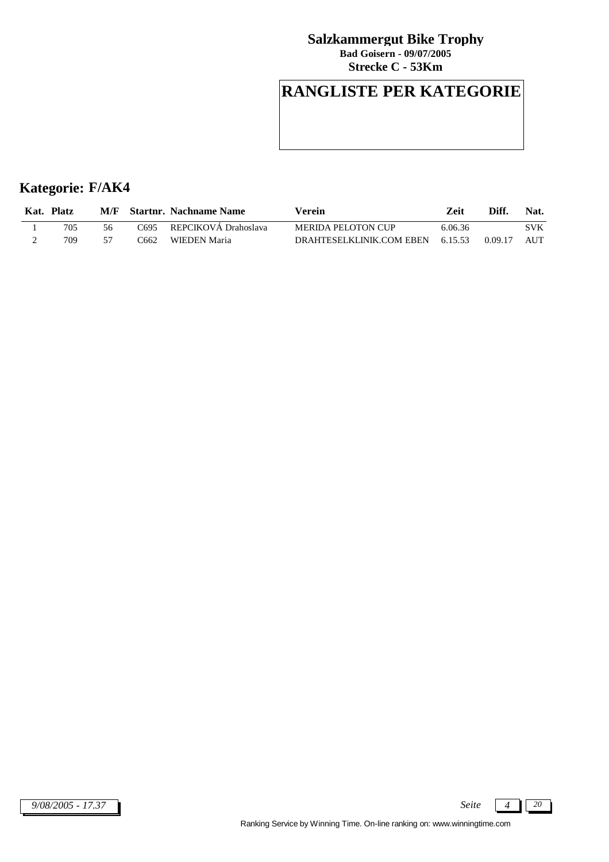**Strecke C - 53Km Bad Goisern - 09/07/2005**

# **RANGLISTE PER KATEGORIE**

| Kat. | <b>Platz</b> | M/F |      | <b>Startnr. Nachname Name</b> | Verein                   | Zeit    | Diff    | Nat.       |
|------|--------------|-----|------|-------------------------------|--------------------------|---------|---------|------------|
|      | 705          | 56  | ි695 | REPCIKOVÁ Drahoslava          | MERIDA PELOTON CUP       | 6.06.36 |         | <b>SVK</b> |
|      | 709          |     | 3662 | WIEDEN Maria                  | DRAHTESELKLINIK.COM EBEN | 6.15.53 | 0.09.17 | <b>AUT</b> |

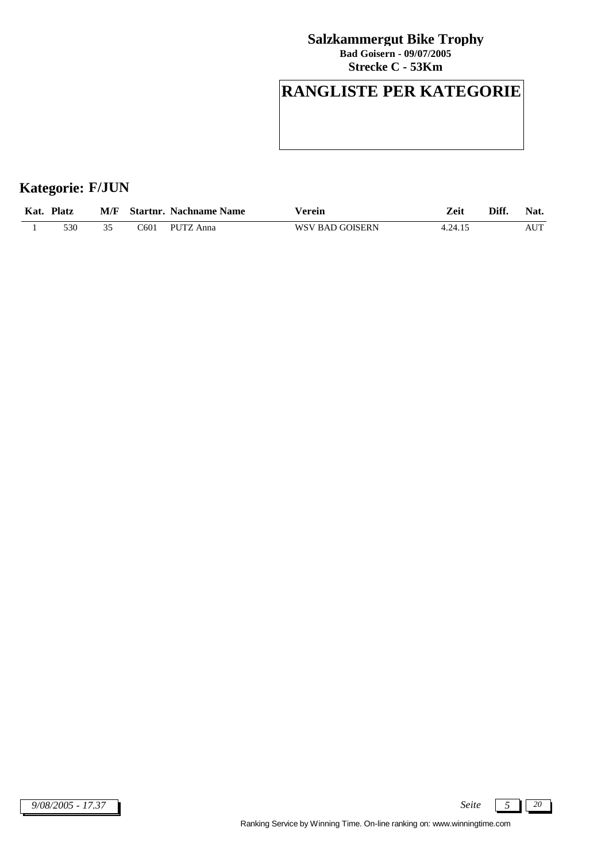**Strecke C - 53Km Bad Goisern - 09/07/2005**

# **RANGLISTE PER KATEGORIE**

## **Kategorie: F/JUN**

| Kat. | <b>Platz</b> |            | M/F Startnr. Nachname Name | Verein          | Zeit    | Diff. | Nat. |
|------|--------------|------------|----------------------------|-----------------|---------|-------|------|
|      | 530          | $\sim$ 601 | PUTZ Anna                  | WSV BAD GOISERN | 4.24.15 |       | AUT  |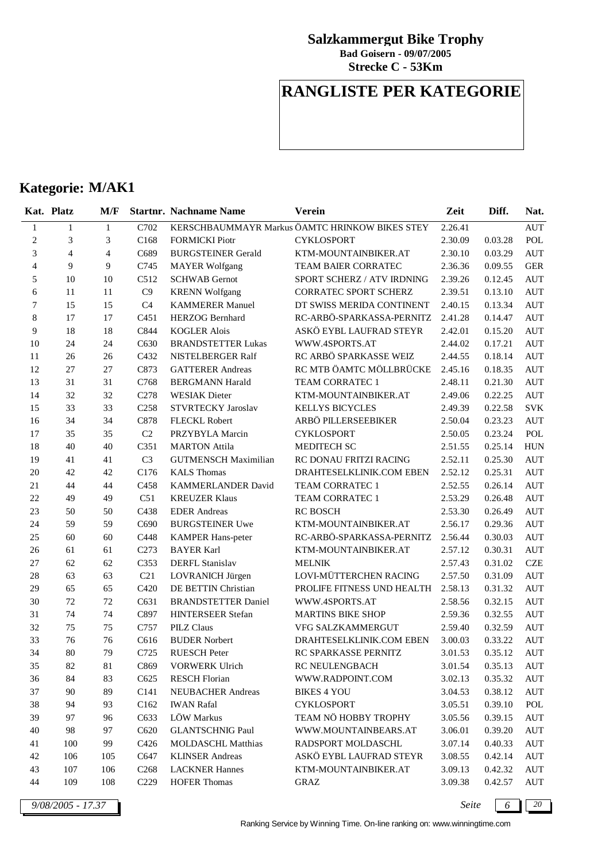**Strecke C - 53Km Bad Goisern - 09/07/2005**

## **RANGLISTE PER KATEGORIE**

## **Kategorie: M/AK1**

|                          | Kat. Platz     | M/F            |                  | <b>Startnr. Nachname Name</b> | <b>Verein</b>                                  | Zeit    | Diff.   | Nat.       |
|--------------------------|----------------|----------------|------------------|-------------------------------|------------------------------------------------|---------|---------|------------|
| $\mathbf{1}$             | $\mathbf{1}$   | $\mathbf{1}$   | C702             |                               | KERSCHBAUMMAYR Markus ÖAMTC HRINKOW BIKES STEY | 2.26.41 |         | <b>AUT</b> |
| $\overline{2}$           | 3              | 3              | C168             | <b>FORMICKI Piotr</b>         | <b>CYKLOSPORT</b>                              | 2.30.09 | 0.03.28 | POL        |
| 3                        | $\overline{4}$ | $\overline{4}$ | C689             | <b>BURGSTEINER Gerald</b>     | KTM-MOUNTAINBIKER.AT                           | 2.30.10 | 0.03.29 | <b>AUT</b> |
| $\overline{\mathcal{L}}$ | $\overline{9}$ | 9              | C745             | <b>MAYER Wolfgang</b>         | TEAM BAIER CORRATEC                            | 2.36.36 | 0.09.55 | <b>GER</b> |
| 5                        | 10             | 10             | C512             | <b>SCHWAB</b> Gernot          | SPORT SCHERZ / ATV IRDNING                     | 2.39.26 | 0.12.45 | <b>AUT</b> |
| 6                        | 11             | 11             | C9               | <b>KRENN Wolfgang</b>         | CORRATEC SPORT SCHERZ                          | 2.39.51 | 0.13.10 | <b>AUT</b> |
| 7                        | 15             | 15             | C <sub>4</sub>   | <b>KAMMERER Manuel</b>        | DT SWISS MERIDA CONTINENT                      | 2.40.15 | 0.13.34 | <b>AUT</b> |
| 8                        | 17             | 17             | C <sub>451</sub> | <b>HERZOG</b> Bernhard        | RC-ARBÖ-SPARKASSA-PERNITZ                      | 2.41.28 | 0.14.47 | <b>AUT</b> |
| 9                        | 18             | 18             | C844             | <b>KOGLER Alois</b>           | ASKÖ EYBL LAUFRAD STEYR                        | 2.42.01 | 0.15.20 | <b>AUT</b> |
| 10                       | 24             | 24             | C630             | <b>BRANDSTETTER Lukas</b>     | WWW.4SPORTS.AT                                 | 2.44.02 | 0.17.21 | <b>AUT</b> |
| 11                       | $26\,$         | 26             | C432             | NISTELBERGER Ralf             | RC ARBÖ SPARKASSE WEIZ                         | 2.44.55 | 0.18.14 | <b>AUT</b> |
| 12                       | 27             | 27             | C873             | <b>GATTERER Andreas</b>       | RC MTB ÖAMTC MÖLLBRÜCKE                        | 2.45.16 | 0.18.35 | <b>AUT</b> |
| 13                       | 31             | 31             | C768             | <b>BERGMANN Harald</b>        | TEAM CORRATEC 1                                | 2.48.11 | 0.21.30 | <b>AUT</b> |
| 14                       | 32             | 32             | C278             | <b>WESIAK</b> Dieter          | KTM-MOUNTAINBIKER.AT                           | 2.49.06 | 0.22.25 | <b>AUT</b> |
| 15                       | 33             | 33             | C <sub>258</sub> | <b>STVRTECKY Jaroslav</b>     | <b>KELLYS BICYCLES</b>                         | 2.49.39 | 0.22.58 | <b>SVK</b> |
| 16                       | 34             | 34             | C878             | FLECKL Robert                 | ARBÖ PILLERSEEBIKER                            | 2.50.04 | 0.23.23 | <b>AUT</b> |
| 17                       | 35             | 35             | C2               | PRZYBYLA Marcin               | <b>CYKLOSPORT</b>                              | 2.50.05 | 0.23.24 | POL        |
| 18                       | 40             | 40             | C351             | <b>MARTON</b> Attila          | MEDITECH SC                                    | 2.51.55 | 0.25.14 | <b>HUN</b> |
| 19                       | 41             | 41             | C <sub>3</sub>   | <b>GUTMENSCH Maximilian</b>   | RC DONAU FRITZI RACING                         | 2.52.11 | 0.25.30 | <b>AUT</b> |
| 20                       | 42             | 42             | C176             | <b>KALS</b> Thomas            | DRAHTESELKLINIK.COM EBEN                       | 2.52.12 | 0.25.31 | <b>AUT</b> |
| 21                       | 44             | 44             | C458             | KAMMERLANDER David            | TEAM CORRATEC 1                                | 2.52.55 | 0.26.14 | <b>AUT</b> |
| 22                       | 49             | 49             | C51              | <b>KREUZER Klaus</b>          | TEAM CORRATEC 1                                | 2.53.29 | 0.26.48 | <b>AUT</b> |
| 23                       | 50             | 50             | C438             | <b>EDER</b> Andreas           | <b>RC BOSCH</b>                                | 2.53.30 | 0.26.49 | <b>AUT</b> |
| 24                       | 59             | 59             | C690             | <b>BURGSTEINER Uwe</b>        | KTM-MOUNTAINBIKER.AT                           | 2.56.17 | 0.29.36 | <b>AUT</b> |
| 25                       | 60             | 60             | C448             | <b>KAMPER Hans-peter</b>      | RC-ARBÖ-SPARKASSA-PERNITZ                      | 2.56.44 | 0.30.03 | <b>AUT</b> |
| 26                       | 61             | 61             | C273             | <b>BAYER Karl</b>             | KTM-MOUNTAINBIKER.AT                           | 2.57.12 | 0.30.31 | <b>AUT</b> |
| 27                       | 62             | 62             | C353             | <b>DERFL Stanislav</b>        | <b>MELNIK</b>                                  | 2.57.43 | 0.31.02 | <b>CZE</b> |
| $28\,$                   | 63             | 63             | C21              | LOVRANICH Jürgen              | LOVI-MÜTTERCHEN RACING                         | 2.57.50 | 0.31.09 | <b>AUT</b> |
| 29                       | 65             | 65             | C420             | DE BETTIN Christian           | PROLIFE FITNESS UND HEALTH                     | 2.58.13 | 0.31.32 | <b>AUT</b> |
| 30                       | 72             | 72             | C631             | <b>BRANDSTETTER Daniel</b>    | WWW.4SPORTS.AT                                 | 2.58.56 | 0.32.15 | <b>AUT</b> |
| 31                       | 74             | 74             | C897             | HINTERSEER Stefan             | <b>MARTINS BIKE SHOP</b>                       | 2.59.36 | 0.32.55 | <b>AUT</b> |
| 32                       | 75             | 75             | C757             | <b>PILZ Claus</b>             | VFG SALZKAMMERGUT                              | 2.59.40 | 0.32.59 | <b>AUT</b> |
| 33                       | 76             | 76             | C616             | <b>BUDER Norbert</b>          | DRAHTESELKLINIK.COM EBEN                       | 3.00.03 | 0.33.22 | <b>AUT</b> |
| 34                       | 80             | 79             | C725             | <b>RUESCH Peter</b>           | RC SPARKASSE PERNITZ                           | 3.01.53 | 0.35.12 | <b>AUT</b> |
| 35                       | 82             | 81             | C869             | <b>VORWERK Ulrich</b>         | RC NEULENGBACH                                 | 3.01.54 | 0.35.13 | <b>AUT</b> |
| 36                       | 84             | 83             | C625             | <b>RESCH Florian</b>          | WWW.RADPOINT.COM                               | 3.02.13 | 0.35.32 | AUT        |
| 37                       | 90             | 89             | C <sub>141</sub> | <b>NEUBACHER Andreas</b>      | <b>BIKES 4 YOU</b>                             | 3.04.53 | 0.38.12 | AUT        |
| 38                       | 94             | 93             | C <sub>162</sub> | <b>IWAN Rafal</b>             | <b>CYKLOSPORT</b>                              | 3.05.51 | 0.39.10 | POL        |
| 39                       | 97             | 96             | C633             | LÖW Markus                    | TEAM NÖ HOBBY TROPHY                           | 3.05.56 | 0.39.15 | AUT        |
| 40                       | 98             | 97             | C620             | <b>GLANTSCHNIG Paul</b>       | WWW.MOUNTAINBEARS.AT                           | 3.06.01 | 0.39.20 | <b>AUT</b> |
| 41                       | 100            | 99             | C426             | MOLDASCHL Matthias            | RADSPORT MOLDASCHL                             | 3.07.14 | 0.40.33 | <b>AUT</b> |
| 42                       | 106            | 105            | C647             | <b>KLINSER Andreas</b>        | ASKÖ EYBL LAUFRAD STEYR                        | 3.08.55 | 0.42.14 | <b>AUT</b> |
| 43                       | 107            | 106            | C <sub>268</sub> | <b>LACKNER Hannes</b>         | KTM-MOUNTAINBIKER.AT                           | 3.09.13 | 0.42.32 | AUT        |
| 44                       | 109            | 108            | C <sub>229</sub> | <b>HOFER Thomas</b>           | GRAZ                                           | 3.09.38 | 0.42.57 | AUT        |

*9/08/2005 - 17.37 Seite 6 20*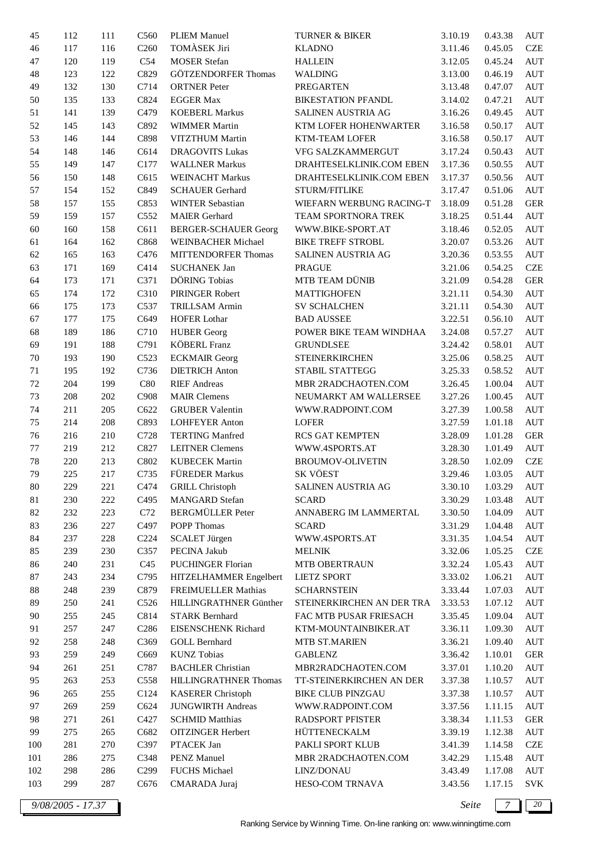| 45     | 112 | 111 | C <sub>560</sub> | <b>PLIEM Manuel</b>         | TURNER & BIKER            | 3.10.19 | 0.43.38 | AUT                |
|--------|-----|-----|------------------|-----------------------------|---------------------------|---------|---------|--------------------|
| 46     | 117 | 116 | C <sub>260</sub> | <b>TOMÀSEK Jiri</b>         | <b>KLADNO</b>             | 3.11.46 | 0.45.05 | <b>CZE</b>         |
| 47     | 120 | 119 | C54              | <b>MOSER</b> Stefan         | <b>HALLEIN</b>            | 3.12.05 | 0.45.24 | AUT                |
| 48     | 123 | 122 | C829             | GÖTZENDORFER Thomas         | WALDING                   | 3.13.00 | 0.46.19 | $\mathop{\rm AUT}$ |
| 49     | 132 | 130 | C714             | <b>ORTNER</b> Peter         | <b>PREGARTEN</b>          | 3.13.48 | 0.47.07 | AUT                |
| 50     | 135 | 133 | C824             | <b>EGGER Max</b>            | <b>BIKESTATION PFANDL</b> | 3.14.02 | 0.47.21 | AUT                |
| 51     | 141 | 139 | C479             | <b>KOEBERL Markus</b>       | SALINEN AUSTRIA AG        | 3.16.26 | 0.49.45 | AUT                |
| 52     | 145 | 143 | C892             | <b>WIMMER Martin</b>        | KTM LOFER HOHENWARTER     | 3.16.58 | 0.50.17 | <b>AUT</b>         |
| 53     | 146 | 144 | C898             | VITZTHUM Martin             | KTM-TEAM LOFER            | 3.16.58 | 0.50.17 | AUT                |
| 54     | 148 | 146 | C614             | <b>DRAGOVITS Lukas</b>      | VFG SALZKAMMERGUT         | 3.17.24 | 0.50.43 | AUT                |
| 55     | 149 | 147 | C177             | <b>WALLNER Markus</b>       | DRAHTESELKLINIK.COM EBEN  | 3.17.36 | 0.50.55 | AUT                |
| 56     | 150 | 148 | C615             | <b>WEINACHT Markus</b>      | DRAHTESELKLINIK.COM EBEN  | 3.17.37 | 0.50.56 | $\mathop{\rm AUT}$ |
| 57     | 154 | 152 | C849             | <b>SCHAUER Gerhard</b>      | STURM/FITLIKE             | 3.17.47 | 0.51.06 | AUT                |
| 58     | 157 | 155 | C853             | <b>WINTER Sebastian</b>     | WIEFARN WERBUNG RACING-T  | 3.18.09 | 0.51.28 | <b>GER</b>         |
| 59     | 159 | 157 | C552             | <b>MAIER</b> Gerhard        | TEAM SPORTNORA TREK       | 3.18.25 | 0.51.44 | AUT                |
| 60     | 160 | 158 | C611             | <b>BERGER-SCHAUER Georg</b> | WWW.BIKE-SPORT.AT         | 3.18.46 | 0.52.05 | AUT                |
| 61     | 164 | 162 | C868             | <b>WEINBACHER Michael</b>   | <b>BIKE TREFF STROBL</b>  | 3.20.07 | 0.53.26 | AUT                |
|        |     |     | C476             | <b>MITTENDORFER Thomas</b>  | SALINEN AUSTRIA AG        |         | 0.53.55 | <b>AUT</b>         |
| 62     | 165 | 163 | C414             | <b>SUCHANEK Jan</b>         | <b>PRAGUE</b>             | 3.20.36 |         | CZE                |
| 63     | 171 | 169 |                  | DÖRING Tobias               | MTB TEAM DÜNIB            | 3.21.06 | 0.54.25 |                    |
| 64     | 173 | 171 | C371             |                             |                           | 3.21.09 | 0.54.28 | <b>GER</b>         |
| 65     | 174 | 172 | C310             | PIRINGER Robert             | <b>MATTIGHOFEN</b>        | 3.21.11 | 0.54.30 | AUT                |
| 66     | 175 | 173 | C537             | <b>TRILLSAM Armin</b>       | <b>SV SCHALCHEN</b>       | 3.21.11 | 0.54.30 | $\mathop{\rm AUT}$ |
| 67     | 177 | 175 | C649             | <b>HOFER Lothar</b>         | <b>BAD AUSSEE</b>         | 3.22.51 | 0.56.10 | AUT                |
| 68     | 189 | 186 | C710             | <b>HUBER Georg</b>          | POWER BIKE TEAM WINDHAA   | 3.24.08 | 0.57.27 | AUT                |
| 69     | 191 | 188 | C791             | <b>KÖBERL Franz</b>         | <b>GRUNDLSEE</b>          | 3.24.42 | 0.58.01 | AUT                |
| 70     | 193 | 190 | C523             | <b>ECKMAIR</b> Georg        | <b>STEINERKIRCHEN</b>     | 3.25.06 | 0.58.25 | AUT                |
| 71     | 195 | 192 | C736             | <b>DIETRICH Anton</b>       | STABIL STATTEGG           | 3.25.33 | 0.58.52 | AUT                |
| 72     | 204 | 199 | C80              | <b>RIEF</b> Andreas         | MBR 2RADCHAOTEN.COM       | 3.26.45 | 1.00.04 | <b>AUT</b>         |
| 73     | 208 | 202 | C908             | <b>MAIR Clemens</b>         | NEUMARKT AM WALLERSEE     | 3.27.26 | 1.00.45 | AUT                |
| 74     | 211 | 205 | C622             | <b>GRUBER Valentin</b>      | WWW.RADPOINT.COM          | 3.27.39 | 1.00.58 | AUT                |
| 75     | 214 | 208 | C893             | <b>LOHFEYER Anton</b>       | <b>LOFER</b>              | 3.27.59 | 1.01.18 | AUT                |
| 76     | 216 | 210 | C728             | <b>TERTING Manfred</b>      | RCS GAT KEMPTEN           | 3.28.09 | 1.01.28 | <b>GER</b>         |
| 77     | 219 | 212 | C827             | <b>LEITNER Clemens</b>      | WWW.4SPORTS.AT            | 3.28.30 | 1.01.49 | AUT                |
| 78     | 220 | 213 | C802             | <b>KUBECEK Martin</b>       | <b>BROUMOV-OLIVETIN</b>   | 3.28.50 | 1.02.09 | <b>CZE</b>         |
| 79     | 225 | 217 | C735             | FÜREDER Markus              | SK VÖEST                  | 3.29.46 | 1.03.05 | AUT                |
| 80     | 229 | 221 | C474             | <b>GRILL Christoph</b>      | SALINEN AUSTRIA AG        | 3.30.10 | 1.03.29 | <b>AUT</b>         |
| 81     | 230 | 222 | C495             | <b>MANGARD</b> Stefan       | <b>SCARD</b>              | 3.30.29 | 1.03.48 | AUT                |
| 82     | 232 | 223 | C72              | <b>BERGMÜLLER</b> Peter     | ANNABERG IM LAMMERTAL     | 3.30.50 | 1.04.09 | AUT                |
| 83     | 236 | 227 | C497             | POPP Thomas                 | <b>SCARD</b>              | 3.31.29 | 1.04.48 | AUT                |
| 84     | 237 | 228 | C <sub>224</sub> | <b>SCALET Jürgen</b>        | WWW.4SPORTS.AT            | 3.31.35 | 1.04.54 | AUT                |
| 85     | 239 | 230 | C357             | PECINA Jakub                | <b>MELNIK</b>             | 3.32.06 | 1.05.25 | <b>CZE</b>         |
| 86     | 240 | 231 | C <sub>45</sub>  | <b>PUCHINGER Florian</b>    | MTB OBERTRAUN             | 3.32.24 | 1.05.43 | AUT                |
| 87     | 243 | 234 | C795             | HITZELHAMMER Engelbert      | <b>LIETZ SPORT</b>        | 3.33.02 | 1.06.21 | AUT                |
| $88\,$ | 248 | 239 | C879             | FREIMUELLER Mathias         | <b>SCHARNSTEIN</b>        | 3.33.44 | 1.07.03 | AUT                |
| 89     | 250 | 241 | C526             | HILLINGRATHNER Günther      | STEINERKIRCHEN AN DER TRA | 3.33.53 | 1.07.12 | $\mathop{\rm AUT}$ |
| 90     | 255 | 245 | C814             | <b>STARK Bernhard</b>       | FAC MTB PUSAR FRIESACH    | 3.35.45 | 1.09.04 | AUT                |
| 91     | 257 | 247 | C <sub>286</sub> | <b>EISENSCHENK Richard</b>  | KTM-MOUNTAINBIKER.AT      | 3.36.11 | 1.09.30 | AUT                |
| 92     | 258 | 248 | C369             | <b>GOLL Bernhard</b>        | MTB ST.MARIEN             | 3.36.21 | 1.09.40 | AUT                |
| 93     | 259 | 249 | C669             | <b>KUNZ</b> Tobias          | <b>GABLENZ</b>            | 3.36.42 | 1.10.01 | <b>GER</b>         |
| 94     | 261 | 251 | C787             | <b>BACHLER Christian</b>    | MBR2RADCHAOTEN.COM        | 3.37.01 | 1.10.20 | AUT                |
| 95     | 263 | 253 | C558             | HILLINGRATHNER Thomas       | TT-STEINERKIRCHEN AN DER  | 3.37.38 | 1.10.57 | AUT                |
| 96     | 265 | 255 | C124             | <b>KASERER Christoph</b>    | <b>BIKE CLUB PINZGAU</b>  | 3.37.38 | 1.10.57 | AUT                |
| 97     | 269 | 259 | C624             | <b>JUNGWIRTH Andreas</b>    | WWW.RADPOINT.COM          | 3.37.56 | 1.11.15 | AUT                |
| 98     | 271 | 261 | C427             | <b>SCHMID Matthias</b>      | <b>RADSPORT PFISTER</b>   | 3.38.34 | 1.11.53 | <b>GER</b>         |
| 99     | 275 | 265 | C682             | <b>OITZINGER Herbert</b>    | HÜTTENECKALM              | 3.39.19 | 1.12.38 | $\mathop{\rm AUT}$ |
| 100    | 281 | 270 | C397             | PTACEK Jan                  | PAKLI SPORT KLUB          | 3.41.39 | 1.14.58 | <b>CZE</b>         |
| 101    | 286 | 275 | C348             | PENZ Manuel                 | MBR 2RADCHAOTEN.COM       | 3.42.29 | 1.15.48 | AUT                |
| 102    | 298 | 286 | C <sub>299</sub> | FUCHS Michael               | LINZ/DONAU                | 3.43.49 | 1.17.08 | AUT                |
| 103    | 299 | 287 | C676             | CMARADA Juraj               | HESO-COM TRNAVA           | 3.43.56 | 1.17.15 | <b>SVK</b>         |
|        |     |     |                  |                             |                           |         |         |                    |

*9/08/2005 - 17.37 Seite 7 20*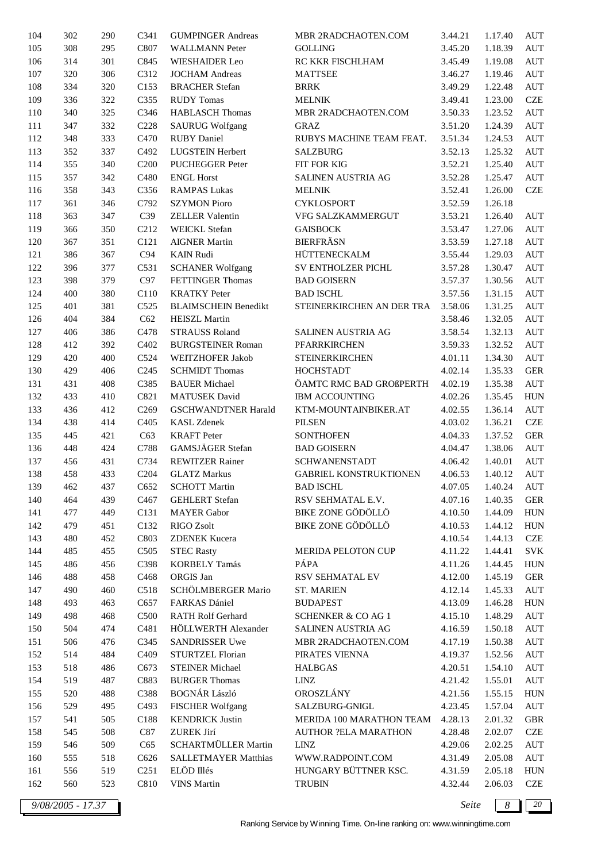| 104     | 302 | 290 | C341              | <b>GUMPINGER Andreas</b>    | MBR 2RADCHAOTEN.COM           | 3.44.21 | 1.17.40 | <b>AUT</b>         |
|---------|-----|-----|-------------------|-----------------------------|-------------------------------|---------|---------|--------------------|
| 105     | 308 | 295 | C807              | <b>WALLMANN Peter</b>       | <b>GOLLING</b>                | 3.45.20 | 1.18.39 | AUT                |
| 106     | 314 | 301 | C845              | <b>WIESHAIDER Leo</b>       | RC KKR FISCHLHAM              | 3.45.49 | 1.19.08 | AUT                |
| 107     | 320 | 306 | C312              | <b>JOCHAM Andreas</b>       | <b>MATTSEE</b>                | 3.46.27 | 1.19.46 | AUT                |
| 108     | 334 | 320 | C153              | <b>BRACHER Stefan</b>       | <b>BRRK</b>                   | 3.49.29 | 1.22.48 | AUT                |
| 109     | 336 | 322 | C355              | <b>RUDY</b> Tomas           | <b>MELNIK</b>                 | 3.49.41 | 1.23.00 | CZE                |
| 110     | 340 | 325 | C346              | <b>HABLASCH Thomas</b>      | MBR 2RADCHAOTEN.COM           | 3.50.33 | 1.23.52 | <b>AUT</b>         |
| 111     | 347 | 332 | C228              | <b>SAURUG Wolfgang</b>      | <b>GRAZ</b>                   | 3.51.20 | 1.24.39 | AUT                |
| 112     | 348 | 333 | C470              | <b>RUBY</b> Daniel          | RUBYS MACHINE TEAM FEAT.      | 3.51.34 | 1.24.53 | AUT                |
| 113     | 352 | 337 | C492              | LUGSTEIN Herbert            | <b>SALZBURG</b>               | 3.52.13 | 1.25.32 | AUT                |
| 114     | 355 | 340 | C <sub>200</sub>  | PUCHEGGER Peter             | FIT FOR KIG                   | 3.52.21 | 1.25.40 | AUT                |
| 115     | 357 | 342 | C480              | <b>ENGL Horst</b>           | SALINEN AUSTRIA AG            | 3.52.28 | 1.25.47 | AUT                |
|         |     |     |                   |                             |                               |         |         | $CZE$              |
| 116     | 358 | 343 | C356              | <b>RAMPAS Lukas</b>         | <b>MELNIK</b>                 | 3.52.41 | 1.26.00 |                    |
| $117\,$ | 361 | 346 | C792              | <b>SZYMON Pioro</b>         | <b>CYKLOSPORT</b>             | 3.52.59 | 1.26.18 |                    |
| 118     | 363 | 347 | C39               | ZELLER Valentin             | VFG SALZKAMMERGUT             | 3.53.21 | 1.26.40 | AUT                |
| 119     | 366 | 350 | C <sub>2</sub> 12 | <b>WEICKL Stefan</b>        | <b>GAISBOCK</b>               | 3.53.47 | 1.27.06 | AUT                |
| 120     | 367 | 351 | C121              | <b>AIGNER Martin</b>        | <b>BIERFRÄSN</b>              | 3.53.59 | 1.27.18 | AUT                |
| 121     | 386 | 367 | C94               | <b>KAIN Rudi</b>            | HÜTTENECKALM                  | 3.55.44 | 1.29.03 | AUT                |
| 122     | 396 | 377 | C531              | <b>SCHANER Wolfgang</b>     | SV ENTHOLZER PICHL            | 3.57.28 | 1.30.47 | <b>AUT</b>         |
| 123     | 398 | 379 | C97               | FETTINGER Thomas            | <b>BAD GOISERN</b>            | 3.57.37 | 1.30.56 | AUT                |
| 124     | 400 | 380 | C110              | <b>KRATKY</b> Peter         | <b>BAD ISCHL</b>              | 3.57.56 | 1.31.15 | <b>AUT</b>         |
| 125     | 401 | 381 | C525              | <b>BLAIMSCHEIN Benedikt</b> | STEINERKIRCHEN AN DER TRA     | 3.58.06 | 1.31.25 | $\mathop{\rm AUT}$ |
| 126     | 404 | 384 | C62               | <b>HEISZL Martin</b>        |                               | 3.58.46 | 1.32.05 | AUT                |
| 127     | 406 | 386 | C478              | <b>STRAUSS Roland</b>       | SALINEN AUSTRIA AG            | 3.58.54 | 1.32.13 | AUT                |
| 128     | 412 | 392 | C402              | <b>BURGSTEINER Roman</b>    | PFARRKIRCHEN                  | 3.59.33 | 1.32.52 | AUT                |
| 129     | 420 | 400 | C524              | WEITZHOFER Jakob            | <b>STEINERKIRCHEN</b>         | 4.01.11 | 1.34.30 | AUT                |
| 130     | 429 | 406 | C <sub>245</sub>  | <b>SCHMIDT Thomas</b>       | <b>HOCHSTADT</b>              | 4.02.14 | 1.35.33 | ${\tt GER}$        |
| 131     | 431 | 408 | C385              | <b>BAUER</b> Michael        | ÖAMTC RMC BAD GROßPERTH       | 4.02.19 | 1.35.38 | AUT                |
| 132     | 433 | 410 | C821              | <b>MATUSEK</b> David        | <b>IBM ACCOUNTING</b>         | 4.02.26 | 1.35.45 | <b>HUN</b>         |
| 133     | 436 | 412 | C <sub>269</sub>  | <b>GSCHWANDTNER Harald</b>  | KTM-MOUNTAINBIKER.AT          | 4.02.55 | 1.36.14 | AUT                |
| 134     | 438 | 414 | C <sub>405</sub>  | <b>KASL Zdenek</b>          | <b>PILSEN</b>                 | 4.03.02 | 1.36.21 | $CZE$              |
| 135     | 445 | 421 | C63               | <b>KRAFT</b> Peter          | <b>SONTHOFEN</b>              | 4.04.33 | 1.37.52 | <b>GER</b>         |
| 136     | 448 | 424 | C788              | GAMSJÄGER Stefan            | <b>BAD GOISERN</b>            | 4.04.47 | 1.38.06 | AUT                |
| 137     | 456 | 431 | C734              | <b>REWITZER Rainer</b>      | <b>SCHWANENSTADT</b>          | 4.06.42 | 1.40.01 | AUT                |
| 138     | 458 | 433 | C <sub>204</sub>  | <b>GLATZ Markus</b>         | <b>GABRIEL KONSTRUKTIONEN</b> | 4.06.53 | 1.40.12 | AUT                |
| 139     | 462 | 437 | C <sub>652</sub>  | <b>SCHOTT Martin</b>        | <b>BAD ISCHL</b>              | 4.07.05 | 1.40.24 | AUT                |
| 140     | 464 | 439 | C <sub>467</sub>  | <b>GEHLERT</b> Stefan       | RSV SEHMATAL E.V.             | 4.07.16 | 1.40.35 | <b>GER</b>         |
|         |     |     |                   |                             | BIKE ZONE GÖDÖLLÖ             |         |         | <b>HUN</b>         |
| 141     | 477 | 449 | C <sub>131</sub>  | <b>MAYER</b> Gabor          |                               | 4.10.50 | 1.44.09 |                    |
| 142     | 479 | 451 | C132              | RIGO Zsolt                  | <b>BIKE ZONE GÖDÖLLÖ</b>      | 4.10.53 | 1.44.12 | <b>HUN</b>         |
| 143     | 480 | 452 | C803              | <b>ZDENEK Kucera</b>        |                               | 4.10.54 | 1.44.13 | <b>CZE</b>         |
| 144     | 485 | 455 | C505              | <b>STEC Rasty</b>           | MERIDA PELOTON CUP            | 4.11.22 | 1.44.41 | <b>SVK</b>         |
| 145     | 486 | 456 | C398              | KORBELY Tamás               | PÁPA                          | 4.11.26 | 1.44.45 | ${\rm HUN}$        |
| 146     | 488 | 458 | C468              | ORGIS Jan                   | RSV SEHMATAL EV               | 4.12.00 | 1.45.19 | <b>GER</b>         |
| 147     | 490 | 460 | C518              | SCHÖLMBERGER Mario          | <b>ST. MARIEN</b>             | 4.12.14 | 1.45.33 | <b>AUT</b>         |
| 148     | 493 | 463 | C657              | FARKAS Dániel               | <b>BUDAPEST</b>               | 4.13.09 | 1.46.28 | ${\rm HUN}$        |
| 149     | 498 | 468 | C500              | RATH Rolf Gerhard           | SCHENKER & CO AG 1            | 4.15.10 | 1.48.29 | <b>AUT</b>         |
| 150     | 504 | 474 | C481              | HÖLLWERTH Alexander         | SALINEN AUSTRIA AG            | 4.16.59 | 1.50.18 | $\mathop{\rm AUT}$ |
| 151     | 506 | 476 | C345              | SANDRISSER Uwe              | MBR 2RADCHAOTEN.COM           | 4.17.19 | 1.50.38 | <b>AUT</b>         |
| 152     | 514 | 484 | C <sub>409</sub>  | STURTZEL Florian            | PIRATES VIENNA                | 4.19.37 | 1.52.56 | AUT                |
| 153     | 518 | 486 | C673              | <b>STEINER Michael</b>      | <b>HALBGAS</b>                | 4.20.51 | 1.54.10 | <b>AUT</b>         |
| 154     | 519 | 487 | C883              | <b>BURGER Thomas</b>        | ${\rm LINZ}$                  | 4.21.42 | 1.55.01 | <b>AUT</b>         |
| 155     | 520 | 488 | C388              | <b>BOGNÁR László</b>        | OROSZLÁNY                     | 4.21.56 | 1.55.15 | ${\rm HUN}$        |
| 156     | 529 | 495 | C493              | <b>FISCHER Wolfgang</b>     | SALZBURG-GNIGL                | 4.23.45 | 1.57.04 | $\mathop{\rm AUT}$ |
| 157     | 541 | 505 | C188              | <b>KENDRICK Justin</b>      | MERIDA 100 MARATHON TEAM      | 4.28.13 | 2.01.32 | GBR                |
| 158     | 545 | 508 | C87               | ZUREK Jirí                  | <b>AUTHOR ?ELA MARATHON</b>   | 4.28.48 | 2.02.07 | <b>CZE</b>         |
| 159     | 546 | 509 | C65               | SCHARTMÜLLER Martin         | LINZ                          | 4.29.06 | 2.02.25 | AUT                |
| 160     | 555 | 518 | C626              | <b>SALLETMAYER Matthias</b> | WWW.RADPOINT.COM              | 4.31.49 | 2.05.08 | AUT                |
| 161     | 556 | 519 | C <sub>251</sub>  | ELÖD Illés                  | HUNGARY BÜTTNER KSC.          | 4.31.59 | 2.05.18 | <b>HUN</b>         |
| 162     | 560 | 523 | C810              | <b>VINS Martin</b>          | <b>TRUBIN</b>                 | 4.32.44 | 2.06.03 | <b>CZE</b>         |
|         |     |     |                   |                             |                               |         |         |                    |

*9/08/2005 - 17.37 Seite 8 20*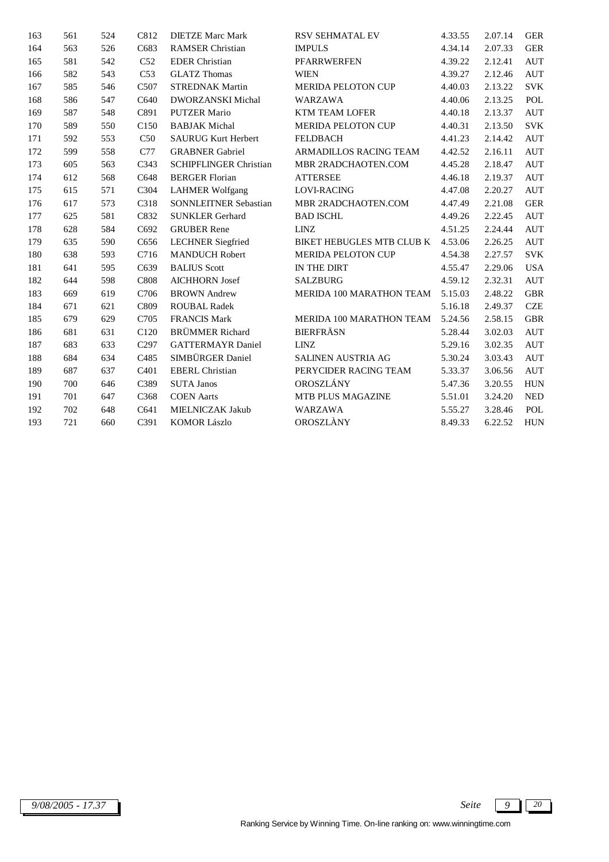| 163 | 561 | 524 | C812             | <b>DIETZE Marc Mark</b>       | <b>RSV SEHMATAL EV</b>    | 4.33.55 | 2.07.14 | <b>GER</b> |
|-----|-----|-----|------------------|-------------------------------|---------------------------|---------|---------|------------|
| 164 | 563 | 526 | C683             | <b>RAMSER Christian</b>       | <b>IMPULS</b>             | 4.34.14 | 2.07.33 | <b>GER</b> |
| 165 | 581 | 542 | C52              | <b>EDER</b> Christian         | <b>PFARRWERFEN</b>        | 4.39.22 | 2.12.41 | <b>AUT</b> |
| 166 | 582 | 543 | C53              | <b>GLATZ Thomas</b>           | <b>WIEN</b>               | 4.39.27 | 2.12.46 | <b>AUT</b> |
| 167 | 585 | 546 | C507             | <b>STREDNAK Martin</b>        | <b>MERIDA PELOTON CUP</b> | 4.40.03 | 2.13.22 | <b>SVK</b> |
| 168 | 586 | 547 | C640             | <b>DWORZANSKI</b> Michal      | <b>WARZAWA</b>            | 4.40.06 | 2.13.25 | POL        |
| 169 | 587 | 548 | C891             | <b>PUTZER Mario</b>           | <b>KTM TEAM LOFER</b>     | 4.40.18 | 2.13.37 | <b>AUT</b> |
| 170 | 589 | 550 | C <sub>150</sub> | <b>BABJAK Michal</b>          | <b>MERIDA PELOTON CUP</b> | 4.40.31 | 2.13.50 | <b>SVK</b> |
| 171 | 592 | 553 | C50              | <b>SAURUG Kurt Herbert</b>    | <b>FELDBACH</b>           | 4.41.23 | 2.14.42 | <b>AUT</b> |
| 172 | 599 | 558 | C77              | <b>GRABNER Gabriel</b>        | ARMADILLOS RACING TEAM    | 4.42.52 | 2.16.11 | <b>AUT</b> |
| 173 | 605 | 563 | C343             | <b>SCHIPFLINGER Christian</b> | MBR 2RADCHAOTEN.COM       | 4.45.28 | 2.18.47 | <b>AUT</b> |
| 174 | 612 | 568 | C648             | <b>BERGER Florian</b>         | <b>ATTERSEE</b>           | 4.46.18 | 2.19.37 | <b>AUT</b> |
| 175 | 615 | 571 | C304             | <b>LAHMER Wolfgang</b>        | <b>LOVI-RACING</b>        | 4.47.08 | 2.20.27 | <b>AUT</b> |
| 176 | 617 | 573 | C318             | <b>SONNLEITNER Sebastian</b>  | MBR 2RADCHAOTEN.COM       | 4.47.49 | 2.21.08 | <b>GER</b> |
| 177 | 625 | 581 | C832             | <b>SUNKLER Gerhard</b>        | <b>BAD ISCHL</b>          | 4.49.26 | 2.22.45 | <b>AUT</b> |
| 178 | 628 | 584 | C692             | <b>GRUBER Rene</b>            | <b>LINZ</b>               | 4.51.25 | 2.24.44 | <b>AUT</b> |
| 179 | 635 | 590 | C656             | <b>LECHNER</b> Siegfried      | BIKET HEBUGLES MTB CLUB K | 4.53.06 | 2.26.25 | <b>AUT</b> |
| 180 | 638 | 593 | C716             | <b>MANDUCH Robert</b>         | <b>MERIDA PELOTON CUP</b> | 4.54.38 | 2.27.57 | <b>SVK</b> |
| 181 | 641 | 595 | C639             | <b>BALIUS Scott</b>           | IN THE DIRT               | 4.55.47 | 2.29.06 | <b>USA</b> |
| 182 | 644 | 598 | C808             | <b>AICHHORN Josef</b>         | <b>SALZBURG</b>           | 4.59.12 | 2.32.31 | <b>AUT</b> |
| 183 | 669 | 619 | C706             | <b>BROWN</b> Andrew           | MERIDA 100 MARATHON TEAM  | 5.15.03 | 2.48.22 | <b>GBR</b> |
| 184 | 671 | 621 | C809             | <b>ROUBAL Radek</b>           |                           | 5.16.18 | 2.49.37 | <b>CZE</b> |
| 185 | 679 | 629 | C705             | <b>FRANCIS Mark</b>           | MERIDA 100 MARATHON TEAM  | 5.24.56 | 2.58.15 | <b>GBR</b> |
| 186 | 681 | 631 | C120             | <b>BRÜMMER</b> Richard        | <b>BIERFRÄSN</b>          | 5.28.44 | 3.02.03 | <b>AUT</b> |
| 187 | 683 | 633 | C <sub>297</sub> | <b>GATTERMAYR Daniel</b>      | <b>LINZ</b>               | 5.29.16 | 3.02.35 | <b>AUT</b> |
| 188 | 684 | 634 | C485             | SIMBÜRGER Daniel              | SALINEN AUSTRIA AG        | 5.30.24 | 3.03.43 | <b>AUT</b> |
| 189 | 687 | 637 | C <sub>401</sub> | <b>EBERL</b> Christian        | PERYCIDER RACING TEAM     | 5.33.37 | 3.06.56 | <b>AUT</b> |
| 190 | 700 | 646 | C389             | <b>SUTA Janos</b>             | OROSZLÁNY                 | 5.47.36 | 3.20.55 | <b>HUN</b> |
| 191 | 701 | 647 | C368             | <b>COEN</b> Aarts             | MTB PLUS MAGAZINE         | 5.51.01 | 3.24.20 | <b>NED</b> |
| 192 | 702 | 648 | C641             | MIELNICZAK Jakub              | <b>WARZAWA</b>            | 5.55.27 | 3.28.46 | POL        |
| 193 | 721 | 660 | C391             | <b>KOMOR Lászlo</b>           | OROSZLÀNY                 | 8.49.33 | 6.22.52 | <b>HUN</b> |

Ranking Service by Winning Time. On-line ranking on: www.winningtime.com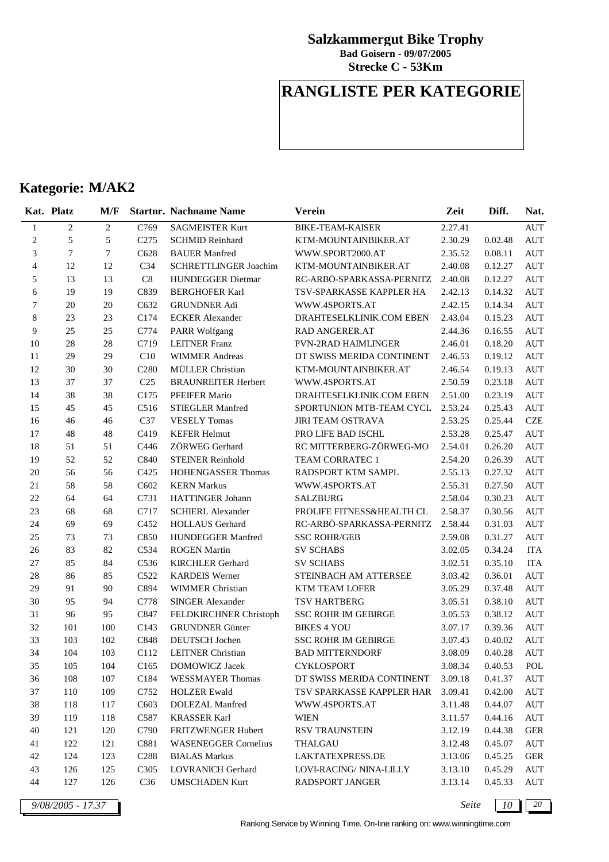**Strecke C - 53Km Bad Goisern - 09/07/2005**

## **RANGLISTE PER KATEGORIE**

## **Kategorie: M/AK2**

|                             | Kat. Platz     | M/F            |                   | <b>Startnr. Nachname Name</b> | Verein                     | Zeit    | Diff.   | Nat.                 |
|-----------------------------|----------------|----------------|-------------------|-------------------------------|----------------------------|---------|---------|----------------------|
| $\mathbf{1}$                | $\overline{c}$ | $\overline{2}$ | C769              | <b>SAGMEISTER Kurt</b>        | <b>BIKE-TEAM-KAISER</b>    | 2.27.41 |         | <b>AUT</b>           |
| $\boldsymbol{2}$            | 5              | 5              | C <sub>275</sub>  | <b>SCHMID Reinhard</b>        | KTM-MOUNTAINBIKER.AT       | 2.30.29 | 0.02.48 | AUT                  |
| $\ensuremath{\mathfrak{Z}}$ | 7              | $\tau$         | C628              | <b>BAUER</b> Manfred          | WWW.SPORT2000.AT           | 2.35.52 | 0.08.11 | <b>AUT</b>           |
| $\overline{4}$              | 12             | 12             | C <sub>34</sub>   | SCHRETTLINGER Joachim         | KTM-MOUNTAINBIKER.AT       | 2.40.08 | 0.12.27 | <b>AUT</b>           |
| 5                           | 13             | 13             | $\rm C8$          | HUNDEGGER Dietmar             | RC-ARBÖ-SPARKASSA-PERNITZ  | 2.40.08 | 0.12.27 | <b>AUT</b>           |
| 6                           | 19             | 19             | C839              | <b>BERGHOFER Karl</b>         | TSV-SPARKASSE KAPPLER HA   | 2.42.13 | 0.14.32 | AUT                  |
| 7                           | 20             | 20             | C632              | <b>GRUNDNER Adi</b>           | WWW.4SPORTS.AT             | 2.42.15 | 0.14.34 | $\mathop{\rm AUT}$   |
| $\,$ 8 $\,$                 | 23             | 23             | C174              | <b>ECKER</b> Alexander        | DRAHTESELKLINIK.COM EBEN   | 2.43.04 | 0.15.23 | <b>AUT</b>           |
| 9                           | 25             | 25             | C774              | PARR Wolfgang                 | RAD ANGERER.AT             | 2.44.36 | 0.16.55 | <b>AUT</b>           |
| 10                          | 28             | 28             | C719              | <b>LEITNER Franz</b>          | <b>PVN-2RAD HAIMLINGER</b> | 2.46.01 | 0.18.20 | $\mathop{\rm AUT}$   |
| 11                          | 29             | 29             | C10               | <b>WIMMER Andreas</b>         | DT SWISS MERIDA CONTINENT  | 2.46.53 | 0.19.12 | AUT                  |
| 12                          | 30             | 30             | C <sub>280</sub>  | MÜLLER Christian              | KTM-MOUNTAINBIKER.AT       | 2.46.54 | 0.19.13 | $\mathop{\rm AUT}$   |
| 13                          | 37             | 37             | C <sub>25</sub>   | <b>BRAUNREITER Herbert</b>    | WWW.4SPORTS.AT             | 2.50.59 | 0.23.18 | $\mathop{\rm AUT}$   |
| 14                          | 38             | 38             | C175              | PFEIFER Mario                 | DRAHTESELKLINIK.COM EBEN   | 2.51.00 | 0.23.19 | <b>AUT</b>           |
| 15                          | 45             | 45             | C516              | <b>STIEGLER Manfred</b>       | SPORTUNION MTB-TEAM CYCL   | 2.53.24 | 0.25.43 | <b>AUT</b>           |
| 16                          | 46             | 46             | C37               | <b>VESELY Tomas</b>           | <b>JIRI TEAM OSTRAVA</b>   | 2.53.25 | 0.25.44 | <b>CZE</b>           |
| 17                          | 48             | 48             | C419              | <b>KEFER Helmut</b>           | PRO LIFE BAD ISCHL         | 2.53.28 | 0.25.47 | $\mathop{\rm AUT}$   |
| 18                          | 51             | 51             | C446              | ZÖRWEG Gerhard                | RC MITTERBERG-ZÖRWEG-MO    | 2.54.01 | 0.26.20 | <b>AUT</b>           |
| 19                          | 52             | 52             | C840              | <b>STEINER Reinhold</b>       | TEAM CORRATEC 1            | 2.54.20 | 0.26.39 | <b>AUT</b>           |
| 20                          | 56             | 56             | C425              | HOHENGASSER Thomas            | RADSPORT KTM SAMPL         | 2.55.13 | 0.27.32 | $\mathop{\rm AUT}$   |
| 21                          | 58             | 58             | C602              | <b>KERN Markus</b>            | WWW.4SPORTS.AT             | 2.55.31 | 0.27.50 | <b>AUT</b>           |
| 22                          | 64             | 64             | C731              | HATTINGER Johann              | <b>SALZBURG</b>            | 2.58.04 | 0.30.23 | $\mathop{\rm AUT}$   |
| 23                          | 68             | 68             | C717              | <b>SCHIERL Alexander</b>      | PROLIFE FITNESS&HEALTH CL  | 2.58.37 | 0.30.56 | AUT                  |
| 24                          | 69             | 69             | C452              | HOLLAUS Gerhard               | RC-ARBÖ-SPARKASSA-PERNITZ  | 2.58.44 | 0.31.03 | AUT                  |
| 25                          | 73             | 73             | C850              | HUNDEGGER Manfred             | <b>SSC ROHR/GEB</b>        | 2.59.08 | 0.31.27 | $\mathop{\rm AUT}$   |
| 26                          | 83             | 82             | C534              | <b>ROGEN Martin</b>           | <b>SV SCHABS</b>           | 3.02.05 | 0.34.24 | <b>ITA</b>           |
| $27\,$                      | 85             | 84             | C536              | <b>KIRCHLER</b> Gerhard       | <b>SV SCHABS</b>           | 3.02.51 | 0.35.10 | <b>ITA</b>           |
| 28                          | 86             | 85             | C522              | <b>KARDEIS</b> Werner         | STEINBACH AM ATTERSEE      | 3.03.42 | 0.36.01 | <b>AUT</b>           |
| 29                          | 91             | 90             | C894              | <b>WIMMER Christian</b>       | KTM TEAM LOFER             | 3.05.29 | 0.37.48 | <b>AUT</b>           |
| 30                          | 95             | 94             | C778              | <b>SINGER Alexander</b>       | TSV HARTBERG               | 3.05.51 | 0.38.10 | <b>AUT</b>           |
| 31                          | 96             | 95             | C847              | FELDKIRCHNER Christoph        | <b>SSC ROHR IM GEBIRGE</b> | 3.05.53 | 0.38.12 | AUT                  |
| 32                          | 101            | 100            | C143              | <b>GRUNDNER</b> Günter        | <b>BIKES 4 YOU</b>         | 3.07.17 | 0.39.36 | AUT                  |
| 33                          | 103            | 102            | C848              | DEUTSCH Jochen                | <b>SSC ROHR IM GEBIRGE</b> | 3.07.43 | 0.40.02 | AUT                  |
| 34                          | 104            | 103            | C112              | <b>LEITNER Christian</b>      | <b>BAD MITTERNDORF</b>     | 3.08.09 | 0.40.28 | AUT                  |
| 35                          | 105            | 104            | C165              | <b>DOMOWICZ Jacek</b>         | <b>CYKLOSPORT</b>          | 3.08.34 | 0.40.53 | $\operatorname{POL}$ |
| 36                          | 108            | 107            | C <sub>184</sub>  | <b>WESSMAYER Thomas</b>       | DT SWISS MERIDA CONTINENT  | 3.09.18 | 0.41.37 | AUT                  |
| 37                          | 110            | 109            | C752              | <b>HOLZER Ewald</b>           | TSV SPARKASSE KAPPLER HAR  | 3.09.41 | 0.42.00 | AUT                  |
| 38                          | 118            | 117            | C <sub>6</sub> 03 | DOLEZAL Manfred               | WWW.4SPORTS.AT             | 3.11.48 | 0.44.07 | AUT                  |
| 39                          | 119            | 118            | C587              | <b>KRASSER Karl</b>           | <b>WIEN</b>                | 3.11.57 | 0.44.16 | AUT                  |
| 40                          | 121            | 120            | C790              | FRITZWENGER Hubert            | RSV TRAUNSTEIN             | 3.12.19 | 0.44.38 | <b>GER</b>           |
| 41                          | 122            | 121            | C881              | <b>WASENEGGER Cornelius</b>   | <b>THALGAU</b>             | 3.12.48 | 0.45.07 | AUT                  |
| 42                          | 124            | 123            | C <sub>288</sub>  | <b>BIALAS Markus</b>          | LAKTATEXPRESS.DE           | 3.13.06 | 0.45.25 | <b>GER</b>           |
| 43                          | 126            | 125            | C <sub>3</sub> 05 | LOVRANICH Gerhard             | LOVI-RACING/NINA-LILLY     | 3.13.10 | 0.45.29 | AUT                  |
| 44                          | 127            | 126            | C <sub>36</sub>   | <b>UMSCHADEN Kurt</b>         | RADSPORT JANGER            | 3.13.14 | 0.45.33 | AUT                  |

*9/08/2005 - 17.37 Seite 10 20*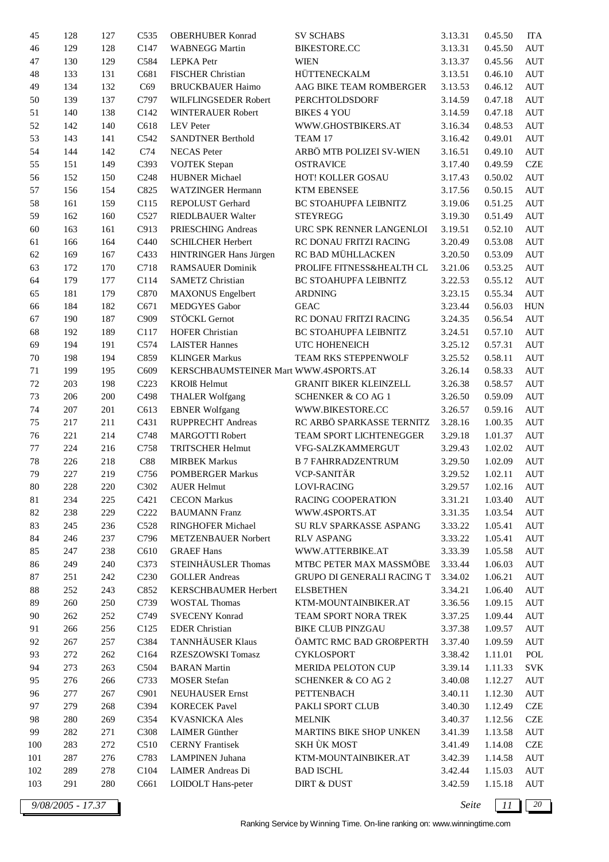| 45     | 128 | 127 | C535             | <b>OBERHUBER Konrad</b>               | <b>SV SCHABS</b>              | 3.13.31 | 0.45.50 | <b>ITA</b>         |
|--------|-----|-----|------------------|---------------------------------------|-------------------------------|---------|---------|--------------------|
| 46     | 129 | 128 | C147             | <b>WABNEGG Martin</b>                 | <b>BIKESTORE.CC</b>           | 3.13.31 | 0.45.50 | <b>AUT</b>         |
| 47     | 130 | 129 | C584             | <b>LEPKA</b> Petr                     | <b>WIEN</b>                   | 3.13.37 | 0.45.56 | <b>AUT</b>         |
| 48     | 133 | 131 | C681             | FISCHER Christian                     | HÜTTENECKALM                  | 3.13.51 | 0.46.10 | <b>AUT</b>         |
| 49     | 134 | 132 | C69              | <b>BRUCKBAUER Haimo</b>               | AAG BIKE TEAM ROMBERGER       | 3.13.53 | 0.46.12 | <b>AUT</b>         |
| 50     | 139 | 137 | C797             | WILFLINGSEDER Robert                  | <b>PERCHTOLDSDORF</b>         | 3.14.59 | 0.47.18 | <b>AUT</b>         |
| 51     | 140 | 138 | C142             | WINTERAUER Robert                     | <b>BIKES 4 YOU</b>            | 3.14.59 | 0.47.18 | <b>AUT</b>         |
| 52     | 142 | 140 | C618             | <b>LEV</b> Peter                      | WWW.GHOSTBIKERS.AT            | 3.16.34 | 0.48.53 | <b>AUT</b>         |
| 53     | 143 | 141 | C542             | <b>SANDTNER Berthold</b>              | TEAM 17                       | 3.16.42 | 0.49.01 | <b>AUT</b>         |
| 54     | 144 | 142 | C74              | <b>NECAS</b> Peter                    | ARBÖ MTB POLIZEI SV-WIEN      | 3.16.51 | 0.49.10 | <b>AUT</b>         |
| 55     | 151 | 149 | C393             | <b>VOJTEK</b> Stepan                  | <b>OSTRAVICE</b>              | 3.17.40 | 0.49.59 | <b>CZE</b>         |
| 56     | 152 | 150 | C <sub>248</sub> | <b>HUBNER Michael</b>                 | HOT! KOLLER GOSAU             | 3.17.43 | 0.50.02 | <b>AUT</b>         |
| 57     | 156 | 154 | C825             | <b>WATZINGER Hermann</b>              | <b>KTM EBENSEE</b>            | 3.17.56 | 0.50.15 | <b>AUT</b>         |
| 58     | 161 | 159 | C115             | REPOLUST Gerhard                      | BC STOAHUPFA LEIBNITZ         | 3.19.06 | 0.51.25 | <b>AUT</b>         |
| 59     | 162 | 160 | C527             | RIEDLBAUER Walter                     | <b>STEYREGG</b>               | 3.19.30 | 0.51.49 | <b>AUT</b>         |
|        |     |     |                  |                                       |                               |         |         |                    |
| 60     | 163 | 161 | C913             | PRIESCHING Andreas                    | URC SPK RENNER LANGENLOI      | 3.19.51 | 0.52.10 | <b>AUT</b>         |
| 61     | 166 | 164 | C440             | <b>SCHILCHER Herbert</b>              | RC DONAU FRITZI RACING        | 3.20.49 | 0.53.08 | <b>AUT</b>         |
| 62     | 169 | 167 | C433             | HINTRINGER Hans Jürgen                | RC BAD MÜHLLACKEN             | 3.20.50 | 0.53.09 | <b>AUT</b>         |
| 63     | 172 | 170 | C718             | <b>RAMSAUER Dominik</b>               | PROLIFE FITNESS&HEALTH CL     | 3.21.06 | 0.53.25 | <b>AUT</b>         |
| 64     | 179 | 177 | C114             | <b>SAMETZ Christian</b>               | BC STOAHUPFA LEIBNITZ         | 3.22.53 | 0.55.12 | <b>AUT</b>         |
| 65     | 181 | 179 | C870             | <b>MAXONUS</b> Engelbert              | <b>ARDNING</b>                | 3.23.15 | 0.55.34 | <b>AUT</b>         |
| 66     | 184 | 182 | C671             | <b>MEDGYES</b> Gabor                  | <b>GEAC</b>                   | 3.23.44 | 0.56.03 | <b>HUN</b>         |
| 67     | 190 | 187 | C909             | STÖCKL Gernot                         | RC DONAU FRITZI RACING        | 3.24.35 | 0.56.54 | <b>AUT</b>         |
| 68     | 192 | 189 | C117             | <b>HOFER Christian</b>                | BC STOAHUPFA LEIBNITZ         | 3.24.51 | 0.57.10 | <b>AUT</b>         |
| 69     | 194 | 191 | C574             | <b>LAISTER Hannes</b>                 | UTC HOHENEICH                 | 3.25.12 | 0.57.31 | <b>AUT</b>         |
| 70     | 198 | 194 | C859             | <b>KLINGER Markus</b>                 | TEAM RKS STEPPENWOLF          | 3.25.52 | 0.58.11 | <b>AUT</b>         |
| 71     | 199 | 195 | C609             | KERSCHBAUMSTEINER Mart WWW.4SPORTS.AT |                               | 3.26.14 | 0.58.33 | <b>AUT</b>         |
| 72     | 203 | 198 | C <sub>223</sub> | <b>KROIS</b> Helmut                   | <b>GRANIT BIKER KLEINZELL</b> | 3.26.38 | 0.58.57 | <b>AUT</b>         |
| 73     | 206 | 200 | C498             | <b>THALER Wolfgang</b>                | <b>SCHENKER &amp; CO AG 1</b> | 3.26.50 | 0.59.09 | <b>AUT</b>         |
| 74     | 207 | 201 | C613             | <b>EBNER Wolfgang</b>                 | WWW.BIKESTORE.CC              | 3.26.57 | 0.59.16 | <b>AUT</b>         |
| 75     | 217 | 211 | C431             | RUPPRECHT Andreas                     | RC ARBÖ SPARKASSE TERNITZ     | 3.28.16 | 1.00.35 | <b>AUT</b>         |
| 76     | 221 | 214 | C748             | <b>MARGOTTI Robert</b>                | TEAM SPORT LICHTENEGGER       | 3.29.18 | 1.01.37 | <b>AUT</b>         |
| 77     | 224 | 216 | C758             | <b>TRITSCHER Helmut</b>               | VFG-SALZKAMMERGUT             | 3.29.43 | 1.02.02 | <b>AUT</b>         |
| 78     | 226 | 218 | C88              | <b>MIRBEK Markus</b>                  | <b>B 7 FAHRRADZENTRUM</b>     | 3.29.50 | 1.02.09 | <b>AUT</b>         |
| 79     | 227 | 219 | C756             | <b>POMBERGER Markus</b>               | <b>VCP-SANITÄR</b>            | 3.29.52 | 1.02.11 | <b>AUT</b>         |
| 80     | 228 | 220 | C302             | <b>AUER Helmut</b>                    | LOVI-RACING                   | 3.29.57 | 1.02.16 | <b>AUT</b>         |
| 81     | 234 | 225 | C421             | <b>CECON Markus</b>                   | <b>RACING COOPERATION</b>     | 3.31.21 | 1.03.40 | AUT                |
| 82     | 238 | 229 | C <sub>222</sub> | <b>BAUMANN Franz</b>                  | WWW.4SPORTS.AT                | 3.31.35 | 1.03.54 | AUT                |
| 83     | 245 | 236 | C528             | RINGHOFER Michael                     | SU RLV SPARKASSE ASPANG       | 3.33.22 | 1.05.41 | <b>AUT</b>         |
| 84     | 246 | 237 | C796             | METZENBAUER Norbert                   | <b>RLV ASPANG</b>             | 3.33.22 | 1.05.41 | <b>AUT</b>         |
| 85     | 247 | 238 | C610             | <b>GRAEF Hans</b>                     | WWW.ATTERBIKE.AT              | 3.33.39 | 1.05.58 | <b>AUT</b>         |
| 86     | 249 | 240 | C373             | STEINHÄUSLER Thomas                   | MTBC PETER MAX MASSMÖBE       | 3.33.44 | 1.06.03 | <b>AUT</b>         |
| 87     | 251 | 242 | C <sub>230</sub> | <b>GOLLER Andreas</b>                 | GRUPO DI GENERALI RACING T    | 3.34.02 | 1.06.21 | <b>AUT</b>         |
| $88\,$ | 252 | 243 | C852             | KERSCHBAUMER Herbert                  | <b>ELSBETHEN</b>              | 3.34.21 | 1.06.40 | <b>AUT</b>         |
| 89     | 260 | 250 | C739             | <b>WOSTAL Thomas</b>                  | KTM-MOUNTAINBIKER.AT          | 3.36.56 | 1.09.15 | AUT                |
| 90     | 262 | 252 | C749             | <b>SVECENY Konrad</b>                 | TEAM SPORT NORA TREK          | 3.37.25 | 1.09.44 | <b>AUT</b>         |
| 91     | 266 | 256 | C125             | <b>EDER</b> Christian                 | <b>BIKE CLUB PINZGAU</b>      | 3.37.38 | 1.09.57 | <b>AUT</b>         |
| 92     | 267 | 257 | C384             | TANNHÄUSER Klaus                      | ÖAMTC RMC BAD GROßPERTH       | 3.37.40 | 1.09.59 | <b>AUT</b>         |
|        |     |     |                  |                                       |                               |         |         |                    |
| 93     | 272 | 262 | C164             | RZESZOWSKI Tomasz                     | <b>CYKLOSPORT</b>             | 3.38.42 | 1.11.01 | POL                |
| 94     | 273 | 263 | C504             | <b>BARAN</b> Martin                   | MERIDA PELOTON CUP            | 3.39.14 | 1.11.33 | <b>SVK</b>         |
| 95     | 276 | 266 | C733             | <b>MOSER</b> Stefan                   | <b>SCHENKER &amp; CO AG 2</b> | 3.40.08 | 1.12.27 | <b>AUT</b>         |
| 96     | 277 | 267 | C901             | <b>NEUHAUSER Ernst</b>                | PETTENBACH                    | 3.40.11 | 1.12.30 | <b>AUT</b>         |
| 97     | 279 | 268 | C394             | <b>KORECEK Pavel</b>                  | PAKLI SPORT CLUB              | 3.40.30 | 1.12.49 | CZE                |
| 98     | 280 | 269 | C354             | <b>KVASNICKA</b> Ales                 | <b>MELNIK</b>                 | 3.40.37 | 1.12.56 | CZE                |
| 99     | 282 | 271 | C308             | <b>LAIMER</b> Günther                 | MARTINS BIKE SHOP UNKEN       | 3.41.39 | 1.13.58 | <b>AUT</b>         |
| 100    | 283 | 272 | C <sub>510</sub> | <b>CERNY Frantisek</b>                | SKH ÙK MOST                   | 3.41.49 | 1.14.08 | CZE                |
| 101    | 287 | 276 | C783             | <b>LAMPINEN Juhana</b>                | KTM-MOUNTAINBIKER.AT          | 3.42.39 | 1.14.58 | <b>AUT</b>         |
| 102    | 289 | 278 | C104             | LAIMER Andreas Di                     | <b>BAD ISCHL</b>              | 3.42.44 | 1.15.03 | $\mathop{\rm AUT}$ |
| 103    | 291 | 280 | C661             | LOIDOLT Hans-peter                    | <b>DIRT &amp; DUST</b>        | 3.42.59 | 1.15.18 | <b>AUT</b>         |
|        |     |     |                  |                                       |                               |         |         |                    |

*9/08/2005 - 17.37 Seite 11 20*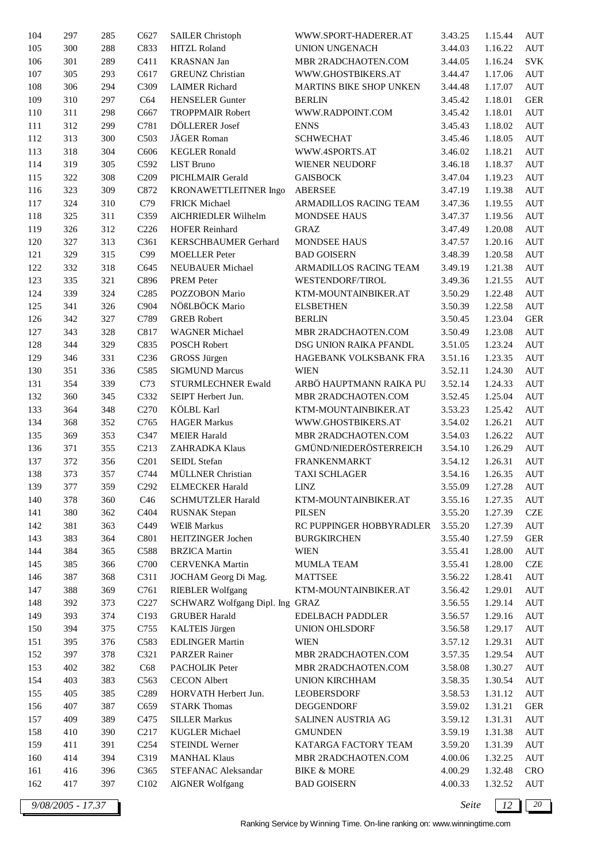| 104 | 297 | 285 | C627             | <b>SAILER Christoph</b>         | WWW.SPORT-HADERER.AT     | 3.43.25 | 1.15.44 | <b>AUT</b> |
|-----|-----|-----|------------------|---------------------------------|--------------------------|---------|---------|------------|
| 105 | 300 | 288 | C833             | <b>HITZL Roland</b>             | <b>UNION UNGENACH</b>    | 3.44.03 | 1.16.22 | <b>AUT</b> |
| 106 | 301 | 289 | C411             | <b>KRASNAN Jan</b>              | MBR 2RADCHAOTEN.COM      | 3.44.05 | 1.16.24 | <b>SVK</b> |
| 107 | 305 | 293 | C617             | <b>GREUNZ</b> Christian         | WWW.GHOSTBIKERS.AT       | 3.44.47 | 1.17.06 | <b>AUT</b> |
| 108 | 306 | 294 | C309             | <b>LAIMER Richard</b>           | MARTINS BIKE SHOP UNKEN  | 3.44.48 | 1.17.07 | <b>AUT</b> |
| 109 | 310 | 297 | C64              | <b>HENSELER Gunter</b>          | <b>BERLIN</b>            | 3.45.42 | 1.18.01 | <b>GER</b> |
| 110 | 311 | 298 | C667             | <b>TROPPMAIR Robert</b>         | WWW.RADPOINT.COM         | 3.45.42 | 1.18.01 | <b>AUT</b> |
| 111 | 312 | 299 | C781             | DÖLLERER Josef                  | <b>ENNS</b>              | 3.45.43 | 1.18.02 | <b>AUT</b> |
| 112 | 313 | 300 | C503             | JÄGER Roman                     | <b>SCHWECHAT</b>         | 3.45.46 | 1.18.05 | <b>AUT</b> |
| 113 | 318 | 304 | C606             | <b>KEGLER Ronald</b>            | WWW.4SPORTS.AT           | 3.46.02 | 1.18.21 | <b>AUT</b> |
| 114 | 319 | 305 | C592             | <b>LIST Bruno</b>               | WIENER NEUDORF           | 3.46.18 | 1.18.37 | <b>AUT</b> |
| 115 | 322 | 308 | C <sub>209</sub> | PICHLMAIR Gerald                | <b>GAISBOCK</b>          | 3.47.04 | 1.19.23 | <b>AUT</b> |
| 116 | 323 | 309 | C872             | KRONAWETTLEITNER Ingo           | <b>ABERSEE</b>           | 3.47.19 | 1.19.38 | <b>AUT</b> |
| 117 | 324 | 310 | C79              | <b>FRICK Michael</b>            | ARMADILLOS RACING TEAM   | 3.47.36 | 1.19.55 | <b>AUT</b> |
| 118 | 325 | 311 | C359             | AICHRIEDLER Wilhelm             | MONDSEE HAUS             | 3.47.37 | 1.19.56 | <b>AUT</b> |
| 119 | 326 | 312 | C <sub>226</sub> | <b>HOFER Reinhard</b>           | <b>GRAZ</b>              | 3.47.49 | 1.20.08 | <b>AUT</b> |
| 120 | 327 | 313 | C361             | KERSCHBAUMER Gerhard            | MONDSEE HAUS             | 3.47.57 | 1.20.16 | <b>AUT</b> |
| 121 | 329 | 315 | C99              | <b>MOELLER</b> Peter            | <b>BAD GOISERN</b>       | 3.48.39 | 1.20.58 | <b>AUT</b> |
| 122 | 332 | 318 | C645             | NEUBAUER Michael                | ARMADILLOS RACING TEAM   | 3.49.19 | 1.21.38 | <b>AUT</b> |
| 123 | 335 | 321 | C896             | <b>PREM Peter</b>               | WESTENDORF/TIROL         | 3.49.36 | 1.21.55 | <b>AUT</b> |
| 124 | 339 | 324 | C <sub>285</sub> | POZZOBON Mario                  | KTM-MOUNTAINBIKER.AT     | 3.50.29 | 1.22.48 | <b>AUT</b> |
| 125 | 341 |     | C904             | NÖßLBÖCK Mario                  | <b>ELSBETHEN</b>         |         | 1.22.58 |            |
|     |     | 326 |                  | <b>GREB Robert</b>              |                          | 3.50.39 |         | <b>AUT</b> |
| 126 | 342 | 327 | C789             |                                 | <b>BERLIN</b>            | 3.50.45 | 1.23.04 | <b>GER</b> |
| 127 | 343 | 328 | C817             | <b>WAGNER</b> Michael           | MBR 2RADCHAOTEN.COM      | 3.50.49 | 1.23.08 | <b>AUT</b> |
| 128 | 344 | 329 | C835             | POSCH Robert                    | DSG UNION RAIKA PFANDL   | 3.51.05 | 1.23.24 | <b>AUT</b> |
| 129 | 346 | 331 | C <sub>236</sub> | GROSS Jürgen                    | HAGEBANK VOLKSBANK FRA   | 3.51.16 | 1.23.35 | <b>AUT</b> |
| 130 | 351 | 336 | C585             | <b>SIGMUND Marcus</b>           | <b>WIEN</b>              | 3.52.11 | 1.24.30 | <b>AUT</b> |
| 131 | 354 | 339 | C73              | STURMLECHNER Ewald              | ARBÖ HAUPTMANN RAIKA PU  | 3.52.14 | 1.24.33 | <b>AUT</b> |
| 132 | 360 | 345 | C332             | SEIPT Herbert Jun.              | MBR 2RADCHAOTEN.COM      | 3.52.45 | 1.25.04 | <b>AUT</b> |
| 133 | 364 | 348 | C <sub>270</sub> | KÖLBL Karl                      | KTM-MOUNTAINBIKER.AT     | 3.53.23 | 1.25.42 | <b>AUT</b> |
| 134 | 368 | 352 | C765             | <b>HAGER Markus</b>             | WWW.GHOSTBIKERS.AT       | 3.54.02 | 1.26.21 | <b>AUT</b> |
| 135 | 369 | 353 | C347             | <b>MEIER Harald</b>             | MBR 2RADCHAOTEN.COM      | 3.54.03 | 1.26.22 | <b>AUT</b> |
| 136 | 371 | 355 | C <sub>213</sub> | <b>ZAHRADKA Klaus</b>           | GMÜND/NIEDERÖSTERREICH   | 3.54.10 | 1.26.29 | <b>AUT</b> |
| 137 | 372 | 356 | C201             | SEIDL Stefan                    | <b>FRANKENMARKT</b>      | 3.54.12 | 1.26.31 | <b>AUT</b> |
| 138 | 373 | 357 | C744             | MÜLLNER Christian               | <b>TAXI SCHLAGER</b>     | 3.54.16 | 1.26.35 | <b>AUT</b> |
| 139 | 377 | 359 | C <sub>292</sub> | <b>ELMECKER Harald</b>          | LINZ                     | 3.55.09 | 1.27.28 | <b>AUT</b> |
| 140 | 378 | 360 | C46              | SCHMUTZLER Harald               | KTM-MOUNTAINBIKER.AT     | 3.55.16 | 1.27.35 | AUT        |
| 141 | 380 | 362 | C404             | <b>RUSNAK</b> Stepan            | <b>PILSEN</b>            | 3.55.20 | 1.27.39 | CZE        |
| 142 | 381 | 363 | C449             | <b>WEIß</b> Markus              | RC PUPPINGER HOBBYRADLER | 3.55.20 | 1.27.39 | <b>AUT</b> |
| 143 | 383 | 364 | C801             | HEITZINGER Jochen               | <b>BURGKIRCHEN</b>       | 3.55.40 | 1.27.59 | <b>GER</b> |
| 144 | 384 | 365 | C588             | <b>BRZICA</b> Martin            | <b>WIEN</b>              | 3.55.41 | 1.28.00 | AUT        |
| 145 | 385 | 366 | C700             | <b>CERVENKA</b> Martin          | <b>MUMLA TEAM</b>        | 3.55.41 | 1.28.00 | CZE        |
| 146 | 387 | 368 | C311             | JOCHAM Georg Di Mag.            | MATTSEE                  | 3.56.22 | 1.28.41 | AUT        |
| 147 | 388 | 369 | C761             | <b>RIEBLER Wolfgang</b>         | KTM-MOUNTAINBIKER.AT     | 3.56.42 | 1.29.01 | AUT        |
| 148 | 392 | 373 | C <sub>227</sub> | SCHWARZ Wolfgang Dipl. Ing GRAZ |                          | 3.56.55 | 1.29.14 | AUT        |
| 149 | 393 | 374 | C193             | <b>GRUBER Harald</b>            | EDELBACH PADDLER         | 3.56.57 | 1.29.16 | AUT        |
| 150 | 394 | 375 | C755             | <b>KALTEIS Jürgen</b>           | UNION OHLSDORF           | 3.56.58 | 1.29.17 | <b>AUT</b> |
| 151 | 395 | 376 | C583             | <b>EDLINGER Martin</b>          | WIEN                     | 3.57.12 | 1.29.31 | <b>AUT</b> |
| 152 | 397 | 378 | C321             | <b>PARZER Rainer</b>            | MBR 2RADCHAOTEN.COM      | 3.57.35 | 1.29.54 | <b>AUT</b> |
| 153 | 402 | 382 | C68              | PACHOLIK Peter                  | MBR 2RADCHAOTEN.COM      | 3.58.08 | 1.30.27 | AUT        |
| 154 | 403 | 383 | C <sub>563</sub> | <b>CECON</b> Albert             | <b>UNION KIRCHHAM</b>    | 3.58.35 | 1.30.54 | AUT        |
| 155 | 405 | 385 | C <sub>289</sub> | HORVATH Herbert Jun.            | <b>LEOBERSDORF</b>       | 3.58.53 | 1.31.12 | AUT        |
| 156 | 407 | 387 | C659             | <b>STARK Thomas</b>             | DEGGENDORF               | 3.59.02 | 1.31.21 | <b>GER</b> |
| 157 | 409 | 389 | C475             | <b>SILLER Markus</b>            | SALINEN AUSTRIA AG       | 3.59.12 | 1.31.31 | <b>AUT</b> |
| 158 | 410 | 390 | C <sub>217</sub> | <b>KUGLER Michael</b>           | <b>GMUNDEN</b>           | 3.59.19 | 1.31.38 | AUT        |
| 159 | 411 | 391 | C <sub>254</sub> | STEINDL Werner                  | KATARGA FACTORY TEAM     | 3.59.20 | 1.31.39 | AUT        |
| 160 | 414 | 394 | C319             | <b>MANHAL Klaus</b>             | MBR 2RADCHAOTEN.COM      | 4.00.06 | 1.32.25 | AUT        |
| 161 | 416 | 396 | C <sub>365</sub> | STEFANAC Aleksandar             | <b>BIKE &amp; MORE</b>   | 4.00.29 | 1.32.48 | <b>CRO</b> |
| 162 | 417 | 397 | C <sub>102</sub> | <b>AIGNER Wolfgang</b>          | <b>BAD GOISERN</b>       | 4.00.33 | 1.32.52 | <b>AUT</b> |
|     |     |     |                  |                                 |                          |         |         |            |

*9/08/2005 - 17.37 Seite 12 20*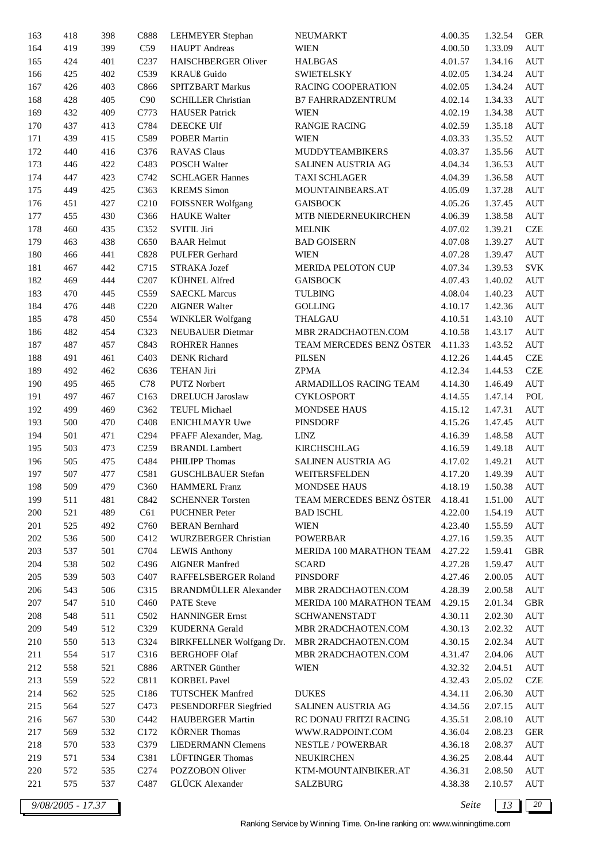| 163 | 418               | 398 | C888              | LEHMEYER Stephan             | NEUMARKT                        | 4.00.35 | 1.32.54 | <b>GER</b> |
|-----|-------------------|-----|-------------------|------------------------------|---------------------------------|---------|---------|------------|
| 164 | 419               | 399 | C59               | <b>HAUPT</b> Andreas         | <b>WIEN</b>                     | 4.00.50 | 1.33.09 | <b>AUT</b> |
| 165 | 424               | 401 | C <sub>237</sub>  | <b>HAISCHBERGER Oliver</b>   | <b>HALBGAS</b>                  | 4.01.57 | 1.34.16 | <b>AUT</b> |
| 166 | 425               | 402 | C539              | <b>KRAUß</b> Guido           | <b>SWIETELSKY</b>               | 4.02.05 | 1.34.24 | <b>AUT</b> |
| 167 | 426               | 403 | C866              | SPITZBART Markus             | <b>RACING COOPERATION</b>       | 4.02.05 | 1.34.24 | <b>AUT</b> |
| 168 | 428               | 405 | C90               | <b>SCHILLER Christian</b>    | <b>B7 FAHRRADZENTRUM</b>        | 4.02.14 | 1.34.33 | <b>AUT</b> |
| 169 | 432               | 409 | C773              | <b>HAUSER</b> Patrick        | <b>WIEN</b>                     | 4.02.19 | 1.34.38 | <b>AUT</b> |
| 170 | 437               | 413 | C784              | DEECKE Ulf                   | <b>RANGIE RACING</b>            | 4.02.59 | 1.35.18 | <b>AUT</b> |
| 171 | 439               | 415 | C589              | <b>POBER Martin</b>          | <b>WIEN</b>                     | 4.03.33 | 1.35.52 | <b>AUT</b> |
| 172 | 440               | 416 | C376              | <b>RAVAS Claus</b>           | MUDDYTEAMBIKERS                 | 4.03.37 | 1.35.56 | <b>AUT</b> |
| 173 | 446               | 422 | C483              | <b>POSCH Walter</b>          | SALINEN AUSTRIA AG              | 4.04.34 | 1.36.53 | <b>AUT</b> |
| 174 | 447               | 423 | C742              | <b>SCHLAGER Hannes</b>       | <b>TAXI SCHLAGER</b>            | 4.04.39 | 1.36.58 | <b>AUT</b> |
| 175 | 449               | 425 | C <sub>363</sub>  | <b>KREMS</b> Simon           | MOUNTAINBEARS.AT                | 4.05.09 | 1.37.28 | <b>AUT</b> |
| 176 | 451               | 427 | C210              | <b>FOISSNER Wolfgang</b>     | <b>GAISBOCK</b>                 | 4.05.26 | 1.37.45 | <b>AUT</b> |
| 177 | 455               | 430 | C366              | <b>HAUKE</b> Walter          | MTB NIEDERNEUKIRCHEN            | 4.06.39 | 1.38.58 | <b>AUT</b> |
|     |                   |     |                   |                              |                                 |         |         |            |
| 178 | 460               | 435 | C352              | <b>SVITIL Jiri</b>           | <b>MELNIK</b>                   | 4.07.02 | 1.39.21 | CZE        |
| 179 | 463               | 438 | C650              | <b>BAAR Helmut</b>           | <b>BAD GOISERN</b>              | 4.07.08 | 1.39.27 | <b>AUT</b> |
| 180 | 466               | 441 | C828              | PULFER Gerhard               | <b>WIEN</b>                     | 4.07.28 | 1.39.47 | <b>AUT</b> |
| 181 | 467               | 442 | C715              | STRAKA Jozef                 | MERIDA PELOTON CUP              | 4.07.34 | 1.39.53 | <b>SVK</b> |
| 182 | 469               | 444 | C207              | KÜHNEL Alfred                | <b>GAISBOCK</b>                 | 4.07.43 | 1.40.02 | <b>AUT</b> |
| 183 | 470               | 445 | C559              | <b>SAECKL Marcus</b>         | <b>TULBING</b>                  | 4.08.04 | 1.40.23 | <b>AUT</b> |
| 184 | 476               | 448 | C <sub>220</sub>  | <b>AIGNER Walter</b>         | <b>GOLLING</b>                  | 4.10.17 | 1.42.36 | <b>AUT</b> |
| 185 | 478               | 450 | C554              | <b>WINKLER Wolfgang</b>      | <b>THALGAU</b>                  | 4.10.51 | 1.43.10 | <b>AUT</b> |
| 186 | 482               | 454 | C323              | <b>NEUBAUER Dietmar</b>      | MBR 2RADCHAOTEN.COM             | 4.10.58 | 1.43.17 | <b>AUT</b> |
| 187 | 487               | 457 | C843              | <b>ROHRER Hannes</b>         | TEAM MERCEDES BENZ ÖSTER        | 4.11.33 | 1.43.52 | <b>AUT</b> |
| 188 | 491               | 461 | C <sub>403</sub>  | <b>DENK Richard</b>          | <b>PILSEN</b>                   | 4.12.26 | 1.44.45 | CZE        |
| 189 | 492               | 462 | C636              | <b>TEHAN Jiri</b>            | <b>ZPMA</b>                     | 4.12.34 | 1.44.53 | CZE        |
| 190 | 495               | 465 | C78               | <b>PUTZ Norbert</b>          | ARMADILLOS RACING TEAM          | 4.14.30 | 1.46.49 | <b>AUT</b> |
| 191 | 497               | 467 | C163              | <b>DRELUCH Jaroslaw</b>      | <b>CYKLOSPORT</b>               | 4.14.55 | 1.47.14 | POL        |
| 192 | 499               | 469 | C362              | <b>TEUFL Michael</b>         | <b>MONDSEE HAUS</b>             | 4.15.12 | 1.47.31 | <b>AUT</b> |
| 193 | 500               | 470 | C408              | <b>ENICHLMAYR Uwe</b>        | <b>PINSDORF</b>                 | 4.15.26 | 1.47.45 | <b>AUT</b> |
| 194 | 501               | 471 | C <sub>294</sub>  | PFAFF Alexander, Mag.        | <b>LINZ</b>                     | 4.16.39 | 1.48.58 | <b>AUT</b> |
| 195 | 503               | 473 | C <sub>259</sub>  | <b>BRANDL</b> Lambert        | <b>KIRCHSCHLAG</b>              | 4.16.59 | 1.49.18 | <b>AUT</b> |
| 196 | 505               | 475 | C484              | PHILIPP Thomas               | SALINEN AUSTRIA AG              | 4.17.02 | 1.49.21 | <b>AUT</b> |
| 197 | 507               | 477 | C581              | <b>GUSCHLBAUER Stefan</b>    | WEITERSFELDEN                   | 4.17.20 | 1.49.39 | <b>AUT</b> |
| 198 | 509               | 479 | C360              | <b>HAMMERL Franz</b>         | MONDSEE HAUS                    | 4.18.19 | 1.50.38 | <b>AUT</b> |
| 199 | 511               | 481 | C842              | <b>SCHENNER Torsten</b>      | TEAM MERCEDES BENZ ÖSTER        | 4.18.41 | 1.51.00 | <b>AUT</b> |
|     | 521               |     | C61               |                              |                                 |         |         |            |
| 200 |                   | 489 |                   | <b>PUCHNER Peter</b>         | <b>BAD ISCHL</b>                | 4.22.00 | 1.54.19 | AUT        |
| 201 | 525               | 492 | C760              | <b>BERAN Bernhard</b>        | <b>WIEN</b>                     | 4.23.40 | 1.55.59 | AUT        |
| 202 | 536               | 500 | C412              | <b>WURZBERGER Christian</b>  | <b>POWERBAR</b>                 | 4.27.16 | 1.59.35 | <b>AUT</b> |
| 203 | 537               | 501 | C704              | <b>LEWIS Anthony</b>         | MERIDA 100 MARATHON TEAM        | 4.27.22 | 1.59.41 | <b>GBR</b> |
| 204 | 538               | 502 | C496              | <b>AIGNER Manfred</b>        | <b>SCARD</b>                    | 4.27.28 | 1.59.47 | <b>AUT</b> |
| 205 | 539               | 503 | C407              | RAFFELSBERGER Roland         | <b>PINSDORF</b>                 | 4.27.46 | 2.00.05 | <b>AUT</b> |
| 206 | 543               | 506 | C315              | <b>BRANDMÜLLER</b> Alexander | MBR 2RADCHAOTEN.COM             | 4.28.39 | 2.00.58 | <b>AUT</b> |
| 207 | 547               | 510 | C460              | PATE Steve                   | <b>MERIDA 100 MARATHON TEAM</b> | 4.29.15 | 2.01.34 | <b>GBR</b> |
| 208 | 548               | 511 | C <sub>5</sub> 02 | <b>HANNINGER Ernst</b>       | <b>SCHWANENSTADT</b>            | 4.30.11 | 2.02.30 | <b>AUT</b> |
| 209 | 549               | 512 | C329              | <b>KUDERNA</b> Gerald        | MBR 2RADCHAOTEN.COM             | 4.30.13 | 2.02.32 | <b>AUT</b> |
| 210 | 550               | 513 | C324              | BIRKFELLNER Wolfgang Dr.     | MBR 2RADCHAOTEN.COM             | 4.30.15 | 2.02.34 | AUT        |
| 211 | 554               | 517 | C316              | <b>BERGHOFF Olaf</b>         | MBR 2RADCHAOTEN.COM             | 4.31.47 | 2.04.06 | <b>AUT</b> |
| 212 | 558               | 521 | C886              | <b>ARTNER Günther</b>        | <b>WIEN</b>                     | 4.32.32 | 2.04.51 | <b>AUT</b> |
| 213 | 559               | 522 | C811              | <b>KORBEL Pavel</b>          |                                 | 4.32.43 | 2.05.02 | <b>CZE</b> |
| 214 | 562               | 525 | C186              | <b>TUTSCHEK Manfred</b>      | <b>DUKES</b>                    | 4.34.11 | 2.06.30 | <b>AUT</b> |
| 215 | 564               | 527 | C473              | PESENDORFER Siegfried        | SALINEN AUSTRIA AG              | 4.34.56 | 2.07.15 | <b>AUT</b> |
| 216 | 567               | 530 | C442              | <b>HAUBERGER Martin</b>      | RC DONAU FRITZI RACING          | 4.35.51 | 2.08.10 | <b>AUT</b> |
| 217 | 569               | 532 | C172              | <b>KÖRNER</b> Thomas         | WWW.RADPOINT.COM                | 4.36.04 | 2.08.23 | <b>GER</b> |
| 218 | 570               | 533 | C379              | <b>LIEDERMANN Clemens</b>    | <b>NESTLE / POWERBAR</b>        |         | 2.08.37 | <b>AUT</b> |
|     |                   |     |                   |                              |                                 | 4.36.18 |         |            |
| 219 | 571               | 534 | C381              | LÜFTINGER Thomas             | <b>NEUKIRCHEN</b>               | 4.36.25 | 2.08.44 | <b>AUT</b> |
| 220 | 572               | 535 | C274              | POZZOBON Oliver              | KTM-MOUNTAINBIKER.AT            | 4.36.31 | 2.08.50 | AUT        |
| 221 | 575               | 537 | C487              | <b>GLÜCK</b> Alexander       | SALZBURG                        | 4.38.38 | 2.10.57 | AUT        |
|     | 9/08/2005 - 17.37 |     |                   |                              |                                 | Seite   | 13      | 20         |
|     |                   |     |                   |                              |                                 |         |         |            |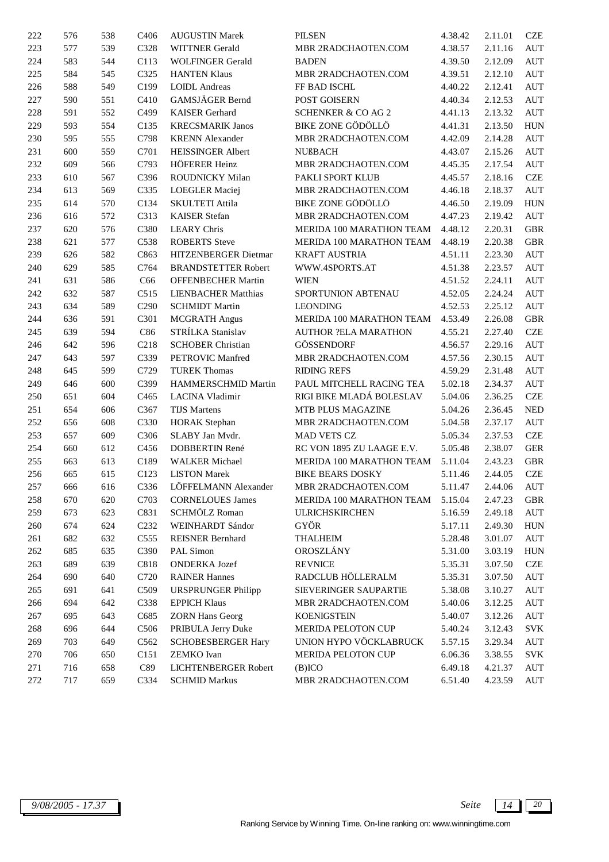| 222 | 576 | 538 | C <sub>406</sub> | <b>AUGUSTIN Marek</b>      | <b>PILSEN</b>                    | 4.38.42 | 2.11.01 | <b>CZE</b>                  |
|-----|-----|-----|------------------|----------------------------|----------------------------------|---------|---------|-----------------------------|
| 223 | 577 | 539 | C328             | <b>WITTNER</b> Gerald      | MBR 2RADCHAOTEN.COM              | 4.38.57 | 2.11.16 | AUT                         |
| 224 | 583 | 544 | C113             | <b>WOLFINGER Gerald</b>    | <b>BADEN</b>                     | 4.39.50 | 2.12.09 | AUT                         |
| 225 | 584 | 545 | C325             | <b>HANTEN Klaus</b>        | MBR 2RADCHAOTEN.COM              | 4.39.51 | 2.12.10 | $\mathop{\rm AUT}$          |
| 226 | 588 | 549 | C199             | <b>LOIDL Andreas</b>       | FF BAD ISCHL                     | 4.40.22 | 2.12.41 | <b>AUT</b>                  |
| 227 | 590 | 551 | C410             | GAMSJÄGER Bernd            | POST GOISERN                     | 4.40.34 | 2.12.53 | $\mathop{\rm AUT}$          |
| 228 | 591 | 552 | C499             | <b>KAISER</b> Gerhard      | <b>SCHENKER &amp; CO AG 2</b>    | 4.41.13 | 2.13.32 | $\mathop{\rm AUT}$          |
| 229 | 593 | 554 | C135             | <b>KRECSMARIK Janos</b>    | <b>BIKE ZONE GÖDÖLLÖ</b>         | 4.41.31 | 2.13.50 | <b>HUN</b>                  |
| 230 | 595 | 555 | C798             | <b>KRENN</b> Alexander     | MBR 2RADCHAOTEN.COM              | 4.42.09 | 2.14.28 | AUT                         |
| 231 | 600 | 559 | C701             | <b>HEISSINGER Albert</b>   | <b>NUßBACH</b>                   | 4.43.07 | 2.15.26 | $\mathop{\rm AUT}$          |
| 232 | 609 | 566 | C793             | HÖFERER Heinz              | MBR 2RADCHAOTEN.COM              | 4.45.35 | 2.17.54 | AUT                         |
| 233 | 610 | 567 | C396             | ROUDNICKY Milan            | PAKLI SPORT KLUB                 | 4.45.57 | 2.18.16 | <b>CZE</b>                  |
| 234 | 613 | 569 | C335             | <b>LOEGLER</b> Maciej      | MBR 2RADCHAOTEN.COM              | 4.46.18 | 2.18.37 | AUT                         |
| 235 | 614 | 570 | C134             | SKULTETI Attila            | BIKE ZONE GÖDÖLLÖ                | 4.46.50 | 2.19.09 | ${\rm HUN}$                 |
| 236 | 616 | 572 | C313             | <b>KAISER</b> Stefan       | MBR 2RADCHAOTEN.COM              | 4.47.23 | 2.19.42 | <b>AUT</b>                  |
| 237 | 620 | 576 | C380             | <b>LEARY Chris</b>         | MERIDA 100 MARATHON TEAM         | 4.48.12 | 2.20.31 | $\operatorname{GBR}$        |
| 238 | 621 | 577 | C538             | <b>ROBERTS</b> Steve       | MERIDA 100 MARATHON TEAM         | 4.48.19 | 2.20.38 | $\operatorname{GBR}$        |
| 239 | 626 | 582 | C863             | HITZENBERGER Dietmar       | <b>KRAFT AUSTRIA</b>             | 4.51.11 | 2.23.30 | AUT                         |
| 240 | 629 | 585 | C764             | <b>BRANDSTETTER Robert</b> | WWW.4SPORTS.AT                   | 4.51.38 | 2.23.57 | AUT                         |
| 241 | 631 | 586 | C66              | <b>OFFENBECHER Martin</b>  | <b>WIEN</b>                      | 4.51.52 | 2.24.11 | $\mathop{\rm AUT}$          |
| 242 | 632 | 587 | C515             | <b>LIENBACHER Matthias</b> | SPORTUNION ABTENAU               | 4.52.05 | 2.24.24 | AUT                         |
| 243 | 634 | 589 | C <sub>290</sub> | <b>SCHMIDT Martin</b>      | <b>LEONDING</b>                  | 4.52.53 | 2.25.12 | <b>AUT</b>                  |
| 244 | 636 | 591 | C301             | <b>MCGRATH Angus</b>       | MERIDA 100 MARATHON TEAM         | 4.53.49 | 2.26.08 | <b>GBR</b>                  |
| 245 | 639 | 594 | C86              | STRÍLKA Stanislav          | <b>AUTHOR ?ELA MARATHON</b>      | 4.55.21 | 2.27.40 | <b>CZE</b>                  |
| 246 | 642 | 596 | C218             | <b>SCHOBER Christian</b>   | <b>GÖSSENDORF</b>                | 4.56.57 | 2.29.16 | <b>AUT</b>                  |
| 247 | 643 | 597 | C339             | PETROVIC Manfred           | MBR 2RADCHAOTEN.COM              | 4.57.56 | 2.30.15 | <b>AUT</b>                  |
| 248 | 645 | 599 | C729             | <b>TUREK Thomas</b>        | <b>RIDING REFS</b>               | 4.59.29 | 2.31.48 | AUT                         |
| 249 | 646 | 600 | C399             | HAMMERSCHMID Martin        | PAUL MITCHELL RACING TEA         | 5.02.18 | 2.34.37 | AUT                         |
| 250 | 651 | 604 | C <sub>465</sub> | LACINA Vladimir            | RIGI BIKE MLADÁ BOLESLAV         | 5.04.06 | 2.36.25 | <b>CZE</b>                  |
| 251 | 654 | 606 | C367             | <b>TIJS Martens</b>        | MTB PLUS MAGAZINE                | 5.04.26 | 2.36.45 | $\ensuremath{\mathsf{NED}}$ |
| 252 | 656 | 608 | C330             | <b>HORAK</b> Stephan       | MBR 2RADCHAOTEN.COM              | 5.04.58 | 2.37.17 | AUT                         |
| 253 | 657 | 609 | C306             | SLABY Jan Mvdr.            | <b>MAD VETS CZ</b>               | 5.05.34 | 2.37.53 | <b>CZE</b>                  |
| 254 | 660 | 612 | C456             | DOBBERTIN René             | RC VON 1895 ZU LAAGE E.V.        | 5.05.48 | 2.38.07 | <b>GER</b>                  |
| 255 | 663 | 613 | C189             | <b>WALKER</b> Michael      | MERIDA 100 MARATHON TEAM         | 5.11.04 | 2.43.23 | <b>GBR</b>                  |
| 256 | 665 | 615 | C123             | <b>LISTON</b> Marek        | <b>BIKE BEARS DOSKY</b>          | 5.11.46 | 2.44.05 | <b>CZE</b>                  |
| 257 | 666 | 616 | C336             | LÖFFELMANN Alexander       | MBR 2RADCHAOTEN.COM              | 5.11.47 | 2.44.06 | AUT                         |
| 258 | 670 | 620 | C703             | <b>CORNELOUES James</b>    | MERIDA 100 MARATHON TEAM 5.15.04 |         | 2.47.23 | <b>GBR</b>                  |
| 259 | 673 | 623 | C831             | SCHMÖLZ Roman              | <b>ULRICHSKIRCHEN</b>            | 5.16.59 | 2.49.18 | AUT                         |
| 260 | 674 | 624 | C <sub>232</sub> | WEINHARDT Sándor           | GYÖR                             | 5.17.11 | 2.49.30 | <b>HUN</b>                  |
| 261 | 682 | 632 | C <sub>555</sub> | <b>REISNER Bernhard</b>    | <b>THALHEIM</b>                  | 5.28.48 | 3.01.07 | AUT                         |
| 262 | 685 | 635 | C390             | PAL Simon                  | OROSZLÁNY                        | 5.31.00 | 3.03.19 | <b>HUN</b>                  |
| 263 | 689 | 639 | C818             | <b>ONDERKA Jozef</b>       | <b>REVNICE</b>                   | 5.35.31 | 3.07.50 | <b>CZE</b>                  |
| 264 | 690 | 640 | C720             | <b>RAINER Hannes</b>       | RADCLUB HÖLLERALM                | 5.35.31 | 3.07.50 | AUT                         |
| 265 | 691 | 641 | C509             | <b>URSPRUNGER Philipp</b>  | SIEVERINGER SAUPARTIE            | 5.38.08 | 3.10.27 | AUT                         |
| 266 | 694 | 642 | C338             | <b>EPPICH Klaus</b>        | MBR 2RADCHAOTEN.COM              | 5.40.06 | 3.12.25 | <b>AUT</b>                  |
| 267 | 695 | 643 | C685             | <b>ZORN Hans Georg</b>     | <b>KOENIGSTEIN</b>               | 5.40.07 | 3.12.26 | AUT                         |
| 268 | 696 | 644 | C506             | PRIBULA Jerry Duke         | MERIDA PELOTON CUP               | 5.40.24 | 3.12.43 | <b>SVK</b>                  |
| 269 | 703 | 649 | C562             | <b>SCHOBESBERGER Hary</b>  | UNION HYPO VÖCKLABRUCK           | 5.57.15 | 3.29.34 | AUT                         |
| 270 | 706 | 650 | C151             | ZEMKO Ivan                 | MERIDA PELOTON CUP               | 6.06.36 | 3.38.55 | <b>SVK</b>                  |
| 271 | 716 | 658 | C89              | LICHTENBERGER Robert       | $(B)$ ICO                        | 6.49.18 | 4.21.37 | AUT                         |
| 272 | 717 | 659 | C334             | <b>SCHMID Markus</b>       | MBR 2RADCHAOTEN.COM              | 6.51.40 | 4.23.59 | $\mathop{\rm AUT}$          |
|     |     |     |                  |                            |                                  |         |         |                             |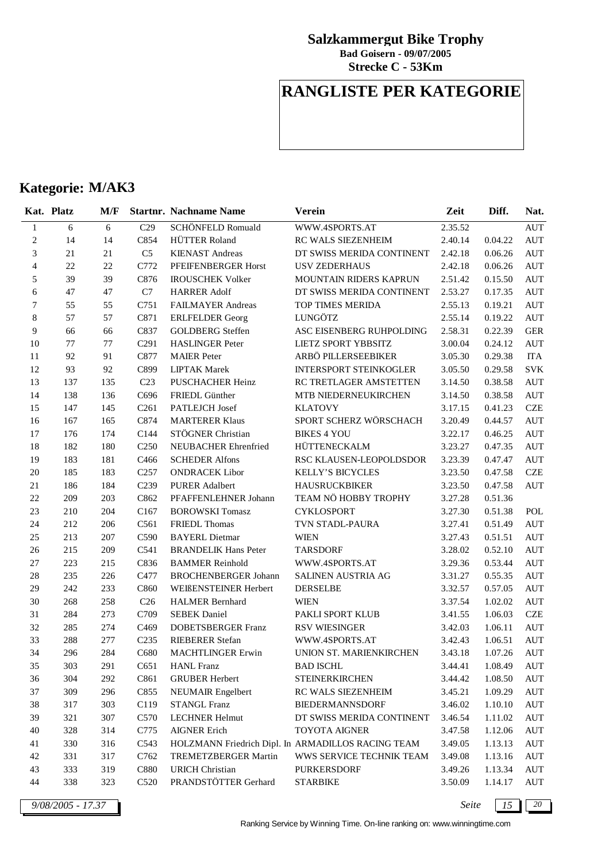**Strecke C - 53Km Bad Goisern - 09/07/2005**

## **RANGLISTE PER KATEGORIE**

## **Kategorie: M/AK3**

|                | Kat. Platz | M/F |                  | <b>Startnr. Nachname Name</b> | <b>Verein</b>                                      | Zeit    | Diff.   | Nat.       |
|----------------|------------|-----|------------------|-------------------------------|----------------------------------------------------|---------|---------|------------|
| $\mathbf{1}$   | 6          | 6   | C29              | SCHÖNFELD Romuald             | WWW.4SPORTS.AT                                     | 2.35.52 |         | <b>AUT</b> |
| $\sqrt{2}$     | 14         | 14  | C854             | HÜTTER Roland                 | RC WALS SIEZENHEIM                                 | 2.40.14 | 0.04.22 | <b>AUT</b> |
| $\mathfrak{Z}$ | 21         | 21  | C <sub>5</sub>   | <b>KIENAST Andreas</b>        | DT SWISS MERIDA CONTINENT                          | 2.42.18 | 0.06.26 | <b>AUT</b> |
| $\overline{4}$ | 22         | 22  | C772             | PFEIFENBERGER Horst           | <b>USV ZEDERHAUS</b>                               | 2.42.18 | 0.06.26 | <b>AUT</b> |
| 5              | 39         | 39  | C876             | <b>IROUSCHEK Volker</b>       | MOUNTAIN RIDERS KAPRUN                             | 2.51.42 | 0.15.50 | <b>AUT</b> |
| 6              | $47\,$     | 47  | C7               | <b>HARRER Adolf</b>           | DT SWISS MERIDA CONTINENT                          | 2.53.27 | 0.17.35 | <b>AUT</b> |
| 7              | 55         | 55  | C751             | FAILMAYER Andreas             | TOP TIMES MERIDA                                   | 2.55.13 | 0.19.21 | <b>AUT</b> |
| $\,8$          | 57         | 57  | C871             | <b>ERLFELDER</b> Georg        | LUNGÖTZ                                            | 2.55.14 | 0.19.22 | <b>AUT</b> |
| 9              | 66         | 66  | C837             | <b>GOLDBERG</b> Steffen       | ASC EISENBERG RUHPOLDING                           | 2.58.31 | 0.22.39 | <b>GER</b> |
| 10             | 77         | 77  | C <sub>291</sub> | <b>HASLINGER Peter</b>        | LIETZ SPORT YBBSITZ                                | 3.00.04 | 0.24.12 | <b>AUT</b> |
| 11             | 92         | 91  | C877             | <b>MAIER</b> Peter            | ARBÖ PILLERSEEBIKER                                | 3.05.30 | 0.29.38 | <b>ITA</b> |
| 12             | 93         | 92  | C899             | <b>LIPTAK Marek</b>           | <b>INTERSPORT STEINKOGLER</b>                      | 3.05.50 | 0.29.58 | <b>SVK</b> |
| 13             | 137        | 135 | C <sub>23</sub>  | PUSCHACHER Heinz              | RC TRETLAGER AMSTETTEN                             | 3.14.50 | 0.38.58 | <b>AUT</b> |
| 14             | 138        | 136 | C696             | FRIEDL Günther                | MTB NIEDERNEUKIRCHEN                               | 3.14.50 | 0.38.58 | <b>AUT</b> |
| 15             | 147        | 145 | C <sub>261</sub> | PATLEJCH Josef                | <b>KLATOVY</b>                                     | 3.17.15 | 0.41.23 | CZE        |
| 16             | 167        | 165 | C874             | <b>MARTERER Klaus</b>         | SPORT SCHERZ WÖRSCHACH                             | 3.20.49 | 0.44.57 | <b>AUT</b> |
| 17             | 176        | 174 | C144             | STÖGNER Christian             | <b>BIKES 4 YOU</b>                                 | 3.22.17 | 0.46.25 | <b>AUT</b> |
| 18             | 182        | 180 | C <sub>250</sub> | NEUBACHER Ehrenfried          | HÜTTENECKALM                                       | 3.23.27 | 0.47.35 | <b>AUT</b> |
| 19             | 183        | 181 | C <sub>466</sub> | <b>SCHEDER Alfons</b>         | RSC KLAUSEN-LEOPOLDSDOR                            | 3.23.39 | 0.47.47 | <b>AUT</b> |
| 20             | 185        | 183 | C <sub>257</sub> | <b>ONDRACEK Libor</b>         | <b>KELLY'S BICYCLES</b>                            | 3.23.50 | 0.47.58 | <b>CZE</b> |
| 21             | 186        | 184 | C <sub>239</sub> | <b>PURER Adalbert</b>         | <b>HAUSRUCKBIKER</b>                               | 3.23.50 | 0.47.58 | <b>AUT</b> |
| $22\,$         | 209        | 203 | C862             | PFAFFENLEHNER Johann          | TEAM NÖ HOBBY TROPHY                               | 3.27.28 | 0.51.36 |            |
| 23             | 210        | 204 | C167             | <b>BOROWSKI</b> Tomasz        | <b>CYKLOSPORT</b>                                  | 3.27.30 | 0.51.38 | POL        |
| 24             | 212        | 206 | C561             | <b>FRIEDL</b> Thomas          | TVN STADL-PAURA                                    | 3.27.41 | 0.51.49 | <b>AUT</b> |
| $25\,$         | 213        | 207 | C590             | <b>BAYERL Dietmar</b>         | <b>WIEN</b>                                        | 3.27.43 | 0.51.51 | <b>AUT</b> |
| 26             | 215        | 209 | C541             | <b>BRANDELIK Hans Peter</b>   | <b>TARSDORF</b>                                    | 3.28.02 | 0.52.10 | <b>AUT</b> |
| $27\,$         | 223        | 215 | C836             | <b>BAMMER Reinhold</b>        | WWW.4SPORTS.AT                                     | 3.29.36 | 0.53.44 | <b>AUT</b> |
| $28\,$         | 235        | 226 | C477             | <b>BROCHENBERGER Johann</b>   | SALINEN AUSTRIA AG                                 | 3.31.27 | 0.55.35 | <b>AUT</b> |
| 29             | 242        | 233 | C860             | WEIßENSTEINER Herbert         | <b>DERSELBE</b>                                    | 3.32.57 | 0.57.05 | <b>AUT</b> |
| 30             | 268        | 258 | C <sub>26</sub>  | <b>HALMER Bernhard</b>        | <b>WIEN</b>                                        | 3.37.54 | 1.02.02 | <b>AUT</b> |
| 31             | 284        | 273 | C709             | <b>SEBEK</b> Daniel           | PAKLI SPORT KLUB                                   | 3.41.55 | 1.06.03 | <b>CZE</b> |
| 32             | 285        | 274 | C <sub>469</sub> | <b>DOBETSBERGER Franz</b>     | <b>RSV WIESINGER</b>                               | 3.42.03 | 1.06.11 | <b>AUT</b> |
| 33             | 288        | 277 | C <sub>235</sub> | <b>RIEBERER Stefan</b>        | WWW.4SPORTS.AT                                     | 3.42.43 | 1.06.51 | <b>AUT</b> |
| 34             | 296        | 284 | C680             | <b>MACHTLINGER Erwin</b>      | UNION ST. MARIENKIRCHEN                            | 3.43.18 | 1.07.26 | <b>AUT</b> |
| 35             | 303        | 291 | C651             | <b>HANL</b> Franz             | <b>BAD ISCHL</b>                                   | 3.44.41 | 1.08.49 | <b>AUT</b> |
| 36             | 304        | 292 | C861             | <b>GRUBER Herbert</b>         | <b>STEINERKIRCHEN</b>                              | 3.44.42 | 1.08.50 | AUT        |
| 37             | 309        | 296 | C855             | NEUMAIR Engelbert             | RC WALS SIEZENHEIM                                 | 3.45.21 | 1.09.29 | <b>AUT</b> |
| 38             | 317        | 303 | C119             | <b>STANGL Franz</b>           | <b>BIEDERMANNSDORF</b>                             | 3.46.02 | 1.10.10 | <b>AUT</b> |
| 39             | 321        | 307 | C570             | <b>LECHNER Helmut</b>         | DT SWISS MERIDA CONTINENT                          | 3.46.54 | 1.11.02 | AUT        |
| 40             | 328        | 314 | C775             | <b>AIGNER Erich</b>           | <b>TOYOTA AIGNER</b>                               | 3.47.58 | 1.12.06 | AUT        |
| 41             | 330        | 316 | C543             |                               | HOLZMANN Friedrich Dipl. In ARMADILLOS RACING TEAM | 3.49.05 | 1.13.13 | AUT        |
| $42\,$         | 331        | 317 | C762             | TREMETZBERGER Martin          | WWS SERVICE TECHNIK TEAM                           | 3.49.08 | 1.13.16 | AUT        |
| 43             | 333        | 319 | C880             | <b>URICH Christian</b>        | <b>PURKERSDORF</b>                                 | 3.49.26 | 1.13.34 | AUT        |
| 44             | 338        | 323 | C520             | PRANDSTÖTTER Gerhard          | <b>STARBIKE</b>                                    | 3.50.09 | 1.14.17 | AUT        |

*9/08/2005 - 17.37 Seite 15 20*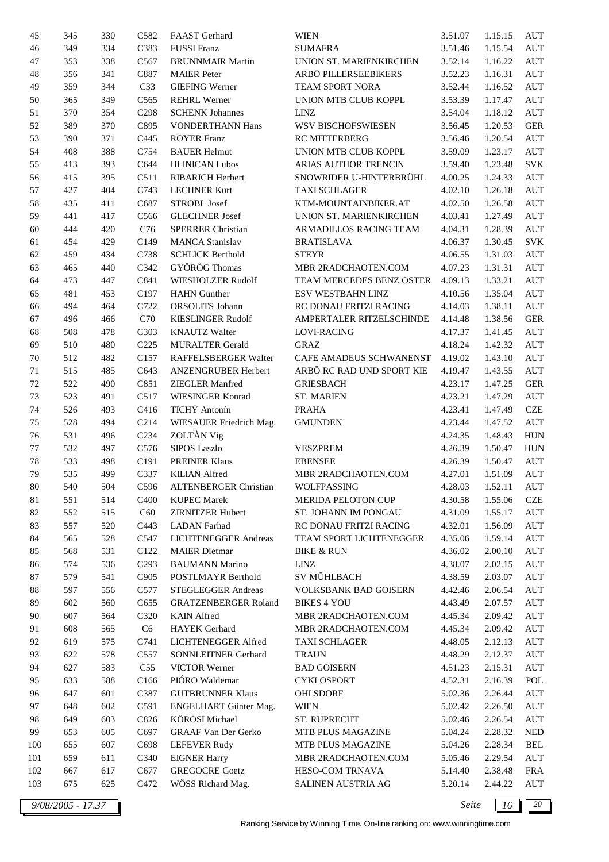| 45     | 345 | 330 | C582             | FAAST Gerhard                | <b>WIEN</b>               | 3.51.07 | 1.15.15 | AUT        |
|--------|-----|-----|------------------|------------------------------|---------------------------|---------|---------|------------|
| 46     | 349 | 334 | C383             | <b>FUSSI</b> Franz           | <b>SUMAFRA</b>            | 3.51.46 | 1.15.54 | AUT        |
| 47     | 353 | 338 | C567             | <b>BRUNNMAIR Martin</b>      | UNION ST. MARIENKIRCHEN   | 3.52.14 | 1.16.22 | AUT        |
| 48     | 356 | 341 | C887             | <b>MAIER</b> Peter           | ARBÖ PILLERSEEBIKERS      | 3.52.23 | 1.16.31 | AUT        |
| 49     | 359 | 344 | C33              | <b>GIEFING Werner</b>        | TEAM SPORT NORA           | 3.52.44 | 1.16.52 | AUT        |
| 50     | 365 | 349 | C565             | <b>REHRL Werner</b>          | UNION MTB CLUB KOPPL      | 3.53.39 | 1.17.47 | <b>AUT</b> |
| 51     | 370 | 354 | C <sub>298</sub> | <b>SCHENK Johannes</b>       | <b>LINZ</b>               | 3.54.04 | 1.18.12 | <b>AUT</b> |
| 52     | 389 | 370 | C895             | <b>VONDERTHANN Hans</b>      | WSV BISCHOFSWIESEN        | 3.56.45 | 1.20.53 | <b>GER</b> |
| 53     | 390 | 371 | C445             | <b>ROYER Franz</b>           | RC MITTERBERG             | 3.56.46 | 1.20.54 | AUT        |
| 54     | 408 | 388 | C754             | <b>BAUER Helmut</b>          | UNION MTB CLUB KOPPL      | 3.59.09 | 1.23.17 | AUT        |
| 55     | 413 | 393 | C644             | <b>HLINICAN Lubos</b>        | ARIAS AUTHOR TRENCIN      | 3.59.40 | 1.23.48 | <b>SVK</b> |
| 56     | 415 | 395 | C511             | <b>RIBARICH Herbert</b>      | SNOWRIDER U-HINTERBRÜHL   | 4.00.25 | 1.24.33 | AUT        |
| 57     | 427 | 404 | C743             | <b>LECHNER Kurt</b>          | <b>TAXI SCHLAGER</b>      | 4.02.10 | 1.26.18 | AUT        |
| 58     | 435 | 411 | C687             | <b>STROBL Josef</b>          | KTM-MOUNTAINBIKER.AT      | 4.02.50 | 1.26.58 | AUT        |
| 59     | 441 | 417 | C <sub>566</sub> | <b>GLECHNER</b> Josef        | UNION ST. MARIENKIRCHEN   | 4.03.41 | 1.27.49 | AUT        |
| 60     | 444 | 420 | C76              | <b>SPERRER Christian</b>     | ARMADILLOS RACING TEAM    | 4.04.31 | 1.28.39 | <b>AUT</b> |
| 61     | 454 | 429 | C149             | <b>MANCA Stanislav</b>       | <b>BRATISLAVA</b>         | 4.06.37 | 1.30.45 | <b>SVK</b> |
| 62     | 459 | 434 | C738             | <b>SCHLICK Berthold</b>      | <b>STEYR</b>              | 4.06.55 | 1.31.03 | AUT        |
| 63     | 465 | 440 | C342             | GYÖRÖG Thomas                | MBR 2RADCHAOTEN.COM       | 4.07.23 | 1.31.31 | <b>AUT</b> |
| 64     | 473 | 447 | C841             | WIESHOLZER Rudolf            | TEAM MERCEDES BENZ ÖSTER  | 4.09.13 | 1.33.21 | AUT        |
| 65     | 481 | 453 | C197             | <b>HAHN</b> Günther          | ESV WESTBAHN LINZ         | 4.10.56 | 1.35.04 | AUT        |
| 66     | 494 | 464 | C722             | ORSOLITS Johann              | RC DONAU FRITZI RACING    | 4.14.03 | 1.38.11 | AUT        |
| 67     | 496 | 466 | C70              | <b>KIESLINGER Rudolf</b>     | AMPERTALER RITZELSCHINDE  | 4.14.48 | 1.38.56 | <b>GER</b> |
| 68     | 508 | 478 | C303             | <b>KNAUTZ Walter</b>         | LOVI-RACING               | 4.17.37 | 1.41.45 | AUT        |
| 69     | 510 | 480 | C <sub>225</sub> | <b>MURALTER Gerald</b>       | <b>GRAZ</b>               | 4.18.24 | 1.42.32 | AUT        |
| 70     | 512 | 482 | C157             | RAFFELSBERGER Walter         | CAFE AMADEUS SCHWANENST   | 4.19.02 | 1.43.10 | <b>AUT</b> |
| 71     | 515 | 485 | C643             | ANZENGRUBER Herbert          | ARBÖ RC RAD UND SPORT KIE | 4.19.47 | 1.43.55 | AUT        |
| 72     | 522 | 490 | C851             | <b>ZIEGLER Manfred</b>       | <b>GRIESBACH</b>          | 4.23.17 | 1.47.25 | <b>GER</b> |
| 73     | 523 | 491 | C517             | <b>WIESINGER Konrad</b>      | <b>ST. MARIEN</b>         | 4.23.21 | 1.47.29 | AUT        |
| 74     | 526 | 493 | C416             | TICHÝ Antonín                | <b>PRAHA</b>              | 4.23.41 | 1.47.49 | <b>CZE</b> |
| 75     | 528 | 494 | C214             | WIESAUER Friedrich Mag.      | <b>GMUNDEN</b>            | 4.23.44 | 1.47.52 | AUT        |
| 76     | 531 | 496 | C <sub>234</sub> | ZOLTÀN Vig                   |                           | 4.24.35 | 1.48.43 | <b>HUN</b> |
| 77     | 532 | 497 | C576             | <b>SIPOS Laszlo</b>          | <b>VESZPREM</b>           | 4.26.39 | 1.50.47 | <b>HUN</b> |
| 78     | 533 | 498 | C191             | <b>PREINER Klaus</b>         | <b>EBENSEE</b>            | 4.26.39 | 1.50.47 | AUT        |
| 79     | 535 | 499 | C337             | <b>KILIAN</b> Alfred         | MBR 2RADCHAOTEN.COM       | 4.27.01 | 1.51.09 | AUT        |
| 80     | 540 | 504 | C596             | <b>ALTENBERGER Christian</b> | WOLFPASSING               | 4.28.03 | 1.52.11 | AUT        |
| 81     | 551 | 514 | C <sub>400</sub> | <b>KUPEC Marek</b>           | <b>MERIDA PELOTON CUP</b> | 4.30.58 | 1.55.06 | CZE        |
| 82     | 552 | 515 | C60              | <b>ZIRNITZER Hubert</b>      | ST. JOHANN IM PONGAU      | 4.31.09 | 1.55.17 | AUT        |
| 83     | 557 | 520 | C443             | <b>LADAN</b> Farhad          | RC DONAU FRITZI RACING    | 4.32.01 | 1.56.09 | AUT        |
| 84     | 565 | 528 | C547             | LICHTENEGGER Andreas         | TEAM SPORT LICHTENEGGER   | 4.35.06 | 1.59.14 | AUT        |
| 85     | 568 | 531 | C <sub>122</sub> | <b>MAIER</b> Dietmar         | <b>BIKE &amp; RUN</b>     | 4.36.02 | 2.00.10 | AUT        |
| 86     | 574 | 536 | C <sub>293</sub> | <b>BAUMANN Marino</b>        | LINZ                      | 4.38.07 | 2.02.15 | AUT        |
| $87\,$ | 579 | 541 | C <sub>905</sub> | POSTLMAYR Berthold           | SV MÜHLBACH               | 4.38.59 | 2.03.07 | AUT        |
| 88     | 597 | 556 | C577             | <b>STEGLEGGER Andreas</b>    | VOLKSBANK BAD GOISERN     | 4.42.46 | 2.06.54 | AUT        |
| 89     | 602 | 560 | C655             | <b>GRATZENBERGER Roland</b>  | <b>BIKES 4 YOU</b>        | 4.43.49 | 2.07.57 | AUT        |
| 90     | 607 | 564 | C320             | <b>KAIN</b> Alfred           | MBR 2RADCHAOTEN.COM       | 4.45.34 | 2.09.42 | AUT        |
| 91     | 608 | 565 | C6               | HAYEK Gerhard                | MBR 2RADCHAOTEN.COM       | 4.45.34 | 2.09.42 | AUT        |
| 92     | 619 | 575 | C741             | LICHTENEGGER Alfred          | <b>TAXI SCHLAGER</b>      | 4.48.05 | 2.12.13 | AUT        |
| 93     | 622 | 578 | C <sub>557</sub> | SONNLEITNER Gerhard          | <b>TRAUN</b>              | 4.48.29 | 2.12.37 | AUT        |
| 94     | 627 | 583 | C55              | VICTOR Werner                | <b>BAD GOISERN</b>        | 4.51.23 | 2.15.31 | AUT        |
| 95     | 633 | 588 | C166             | PIÓRO Waldemar               | <b>CYKLOSPORT</b>         | 4.52.31 | 2.16.39 | POL        |
| 96     | 647 | 601 | C387             | <b>GUTBRUNNER Klaus</b>      | OHLSDORF                  | 5.02.36 | 2.26.44 | AUT        |
| 97     | 648 | 602 | C591             | ENGELHART Günter Mag.        | <b>WIEN</b>               |         | 2.26.50 |            |
|        |     |     | C826             | KÖRÖSI Michael               |                           | 5.02.42 |         | AUT        |
| 98     | 649 | 603 |                  |                              | ST. RUPRECHT              | 5.02.46 | 2.26.54 | AUT        |
| 99     | 653 | 605 | C697             | GRAAF Van Der Gerko          | MTB PLUS MAGAZINE         | 5.04.24 | 2.28.32 | <b>NED</b> |
| 100    | 655 | 607 | C698             | <b>LEFEVER Rudy</b>          | MTB PLUS MAGAZINE         | 5.04.26 | 2.28.34 | BEL        |
| 101    | 659 | 611 | C340             | <b>EIGNER Harry</b>          | MBR 2RADCHAOTEN.COM       | 5.05.46 | 2.29.54 | AUT        |
| 102    | 667 | 617 | C677             | <b>GREGOCRE Goetz</b>        | HESO-COM TRNAVA           | 5.14.40 | 2.38.48 | FRA        |
| 103    | 675 | 625 | C472             | WÖSS Richard Mag.            | SALINEN AUSTRIA AG        | 5.20.14 | 2.44.22 | AUT        |

*9/08/2005 - 17.37 Seite 16 20*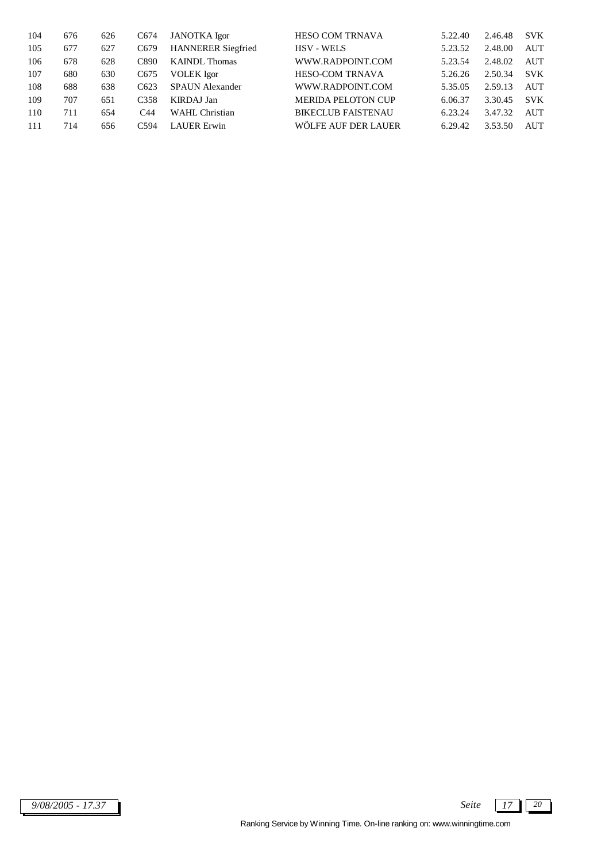| 104 | 676 | 626 | C <sub>674</sub> | <b>JANOTKA</b> Igor       | <b>HESO COM TRNAVA</b>    | 5.22.40 | 2.46.48 | <b>SVK</b> |
|-----|-----|-----|------------------|---------------------------|---------------------------|---------|---------|------------|
| 105 | 677 | 627 | C <sub>679</sub> | <b>HANNERER Siegfried</b> | <b>HSV - WELS</b>         | 5.23.52 | 2.48.00 | <b>AUT</b> |
| 106 | 678 | 628 | C890             | <b>KAINDL</b> Thomas      | WWW.RADPOINT.COM          | 5.23.54 | 2.48.02 | <b>AUT</b> |
| 107 | 680 | 630 | C <sub>675</sub> | <b>VOLEK</b> Igor         | <b>HESO-COM TRNAVA</b>    | 5.26.26 | 2.50.34 | <b>SVK</b> |
| 108 | 688 | 638 | C623             | <b>SPAUN</b> Alexander    | WWW.RADPOINT.COM          | 5.35.05 | 2.59.13 | <b>AUT</b> |
| 109 | 707 | 651 | C <sub>358</sub> | <b>KIRDAJ Jan</b>         | <b>MERIDA PELOTON CUP</b> | 6.06.37 | 3.30.45 | <b>SVK</b> |
| 110 | 711 | 654 | C44              | WAHL Christian            | <b>BIKECLUB FAISTENAU</b> | 6.23.24 | 3.47.32 | <b>AUT</b> |
| 111 | 714 | 656 | C <sub>594</sub> | LAUER Erwin               | WÖLFE AUF DER LAUER       | 6.29.42 | 3.53.50 | AUT        |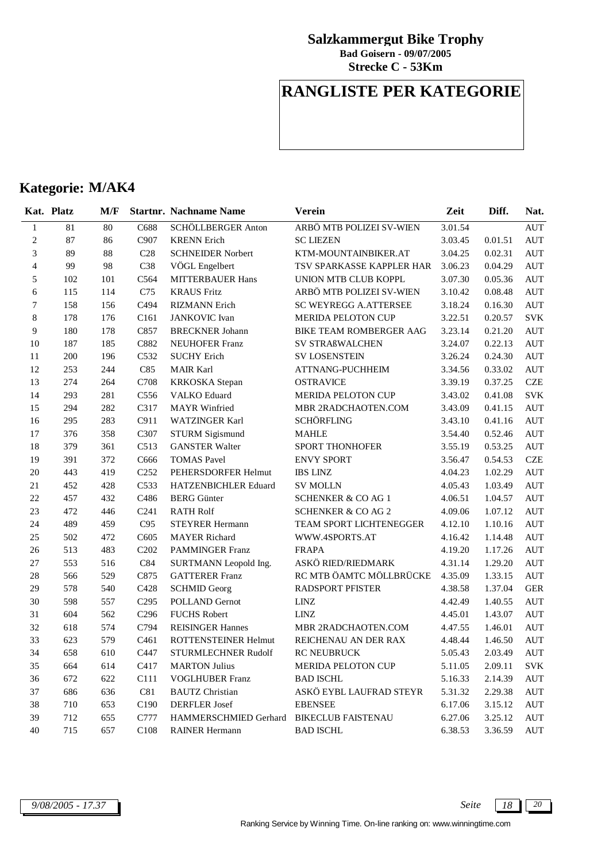**Strecke C - 53Km Bad Goisern - 09/07/2005**

## **RANGLISTE PER KATEGORIE**

|                         | Kat. Platz | M/F |                  | <b>Startnr. Nachname Name</b> | <b>Verein</b>                 | Zeit    | Diff.   | Nat.       |
|-------------------------|------------|-----|------------------|-------------------------------|-------------------------------|---------|---------|------------|
| $\mathbf{1}$            | 81         | 80  | C688             | SCHÖLLBERGER Anton            | ARBÖ MTB POLIZEI SV-WIEN      | 3.01.54 |         | AUT        |
| $\mathbf{2}$            | 87         | 86  | C907             | <b>KRENN</b> Erich            | <b>SC LIEZEN</b>              | 3.03.45 | 0.01.51 | AUT        |
| 3                       | 89         | 88  | C28              | <b>SCHNEIDER Norbert</b>      | KTM-MOUNTAINBIKER.AT          | 3.04.25 | 0.02.31 | <b>AUT</b> |
| $\overline{\mathbf{4}}$ | 99         | 98  | C38              | VÖGL Engelbert                | TSV SPARKASSE KAPPLER HAR     | 3.06.23 | 0.04.29 | <b>AUT</b> |
| 5                       | 102        | 101 | C564             | <b>MITTERBAUER Hans</b>       | UNION MTB CLUB KOPPL          | 3.07.30 | 0.05.36 | <b>AUT</b> |
| 6                       | 115        | 114 | C75              | <b>KRAUS Fritz</b>            | ARBÖ MTB POLIZEI SV-WIEN      | 3.10.42 | 0.08.48 | <b>AUT</b> |
| $\sqrt{ }$              | 158        | 156 | C494             | <b>RIZMANN</b> Erich          | SC WEYREGG A.ATTERSEE         | 3.18.24 | 0.16.30 | AUT        |
| 8                       | 178        | 176 | C <sub>161</sub> | <b>JANKOVIC</b> Ivan          | MERIDA PELOTON CUP            | 3.22.51 | 0.20.57 | <b>SVK</b> |
| 9                       | 180        | 178 | C857             | <b>BRECKNER Johann</b>        | BIKE TEAM ROMBERGER AAG       | 3.23.14 | 0.21.20 | <b>AUT</b> |
| 10                      | 187        | 185 | C882             | <b>NEUHOFER Franz</b>         | SV STRAßWALCHEN               | 3.24.07 | 0.22.13 | <b>AUT</b> |
| 11                      | 200        | 196 | C532             | <b>SUCHY Erich</b>            | <b>SV LOSENSTEIN</b>          | 3.26.24 | 0.24.30 | <b>AUT</b> |
| 12                      | 253        | 244 | C85              | <b>MAIR Karl</b>              | <b>ATTNANG-PUCHHEIM</b>       | 3.34.56 | 0.33.02 | <b>AUT</b> |
| 13                      | 274        | 264 | C708             | <b>KRKOSKA</b> Stepan         | <b>OSTRAVICE</b>              | 3.39.19 | 0.37.25 | CZE        |
| 14                      | 293        | 281 | C <sub>556</sub> | <b>VALKO</b> Eduard           | <b>MERIDA PELOTON CUP</b>     | 3.43.02 | 0.41.08 | <b>SVK</b> |
| 15                      | 294        | 282 | C317             | <b>MAYR</b> Winfried          | MBR 2RADCHAOTEN.COM           | 3.43.09 | 0.41.15 | <b>AUT</b> |
| 16                      | 295        | 283 | C911             | WATZINGER Karl                | <b>SCHÖRFLING</b>             | 3.43.10 | 0.41.16 | <b>AUT</b> |
| 17                      | 376        | 358 | C307             | STURM Sigismund               | <b>MAHLE</b>                  | 3.54.40 | 0.52.46 | <b>AUT</b> |
| 18                      | 379        | 361 | C513             | <b>GANSTER Walter</b>         | <b>SPORT THONHOFER</b>        | 3.55.19 | 0.53.25 | <b>AUT</b> |
| 19                      | 391        | 372 | C666             | <b>TOMAS</b> Pavel            | <b>ENVY SPORT</b>             | 3.56.47 | 0.54.53 | <b>CZE</b> |
| 20                      | 443        | 419 | C <sub>252</sub> | PEHERSDORFER Helmut           | <b>IBS LINZ</b>               | 4.04.23 | 1.02.29 | <b>AUT</b> |
| 21                      | 452        | 428 | C533             | HATZENBICHLER Eduard          | <b>SV MOLLN</b>               | 4.05.43 | 1.03.49 | <b>AUT</b> |
| 22                      | 457        | 432 | C486             | <b>BERG</b> Günter            | SCHENKER & CO AG 1            | 4.06.51 | 1.04.57 | <b>AUT</b> |
| 23                      | 472        | 446 | C <sub>241</sub> | <b>RATH Rolf</b>              | <b>SCHENKER &amp; CO AG 2</b> | 4.09.06 | 1.07.12 | <b>AUT</b> |
| 24                      | 489        | 459 | C95              | <b>STEYRER Hermann</b>        | TEAM SPORT LICHTENEGGER       | 4.12.10 | 1.10.16 | AUT        |
| 25                      | 502        | 472 | C605             | <b>MAYER Richard</b>          | WWW.4SPORTS.AT                | 4.16.42 | 1.14.48 | <b>AUT</b> |
| $26\,$                  | 513        | 483 | C202             | <b>PAMMINGER Franz</b>        | <b>FRAPA</b>                  | 4.19.20 | 1.17.26 | AUT        |
| 27                      | 553        | 516 | C84              | SURTMANN Leopold Ing.         | ASKÖ RIED/RIEDMARK            | 4.31.14 | 1.29.20 | <b>AUT</b> |
| 28                      | 566        | 529 | C875             | <b>GATTERER Franz</b>         | RC MTB ÖAMTC MÖLLBRÜCKE       | 4.35.09 | 1.33.15 | <b>AUT</b> |
| 29                      | 578        | 540 | C428             | <b>SCHMID Georg</b>           | <b>RADSPORT PFISTER</b>       | 4.38.58 | 1.37.04 | <b>GER</b> |
| 30                      | 598        | 557 | C <sub>295</sub> | <b>POLLAND Gernot</b>         | <b>LINZ</b>                   | 4.42.49 | 1.40.55 | <b>AUT</b> |
| 31                      | 604        | 562 | C <sub>296</sub> | <b>FUCHS Robert</b>           | <b>LINZ</b>                   | 4.45.01 | 1.43.07 | <b>AUT</b> |
| 32                      | 618        | 574 | C794             | <b>REISINGER Hannes</b>       | MBR 2RADCHAOTEN.COM           | 4.47.55 | 1.46.01 | <b>AUT</b> |
| 33                      | 623        | 579 | C <sub>461</sub> | ROTTENSTEINER Helmut          | REICHENAU AN DER RAX          | 4.48.44 | 1.46.50 | <b>AUT</b> |
| 34                      | 658        | 610 | C447             | STURMLECHNER Rudolf           | <b>RC NEUBRUCK</b>            | 5.05.43 | 2.03.49 | AUT        |
| 35                      | 664        | 614 | C417             | <b>MARTON Julius</b>          | <b>MERIDA PELOTON CUP</b>     | 5.11.05 | 2.09.11 | <b>SVK</b> |
| 36                      | 672        | 622 | C111             | <b>VOGLHUBER Franz</b>        | <b>BAD ISCHL</b>              | 5.16.33 | 2.14.39 | <b>AUT</b> |
| 37                      | 686        | 636 | C81              | <b>BAUTZ</b> Christian        | ASKÖ EYBL LAUFRAD STEYR       | 5.31.32 | 2.29.38 | <b>AUT</b> |
| 38                      | 710        | 653 | C190             | <b>DERFLER</b> Josef          | <b>EBENSEE</b>                | 6.17.06 | 3.15.12 | <b>AUT</b> |
| 39                      | 712        | 655 | C777             | HAMMERSCHMIED Gerhard         | <b>BIKECLUB FAISTENAU</b>     | 6.27.06 | 3.25.12 | <b>AUT</b> |
| 40                      | 715        | 657 | C108             | <b>RAINER Hermann</b>         | <b>BAD ISCHL</b>              | 6.38.53 | 3.36.59 | <b>AUT</b> |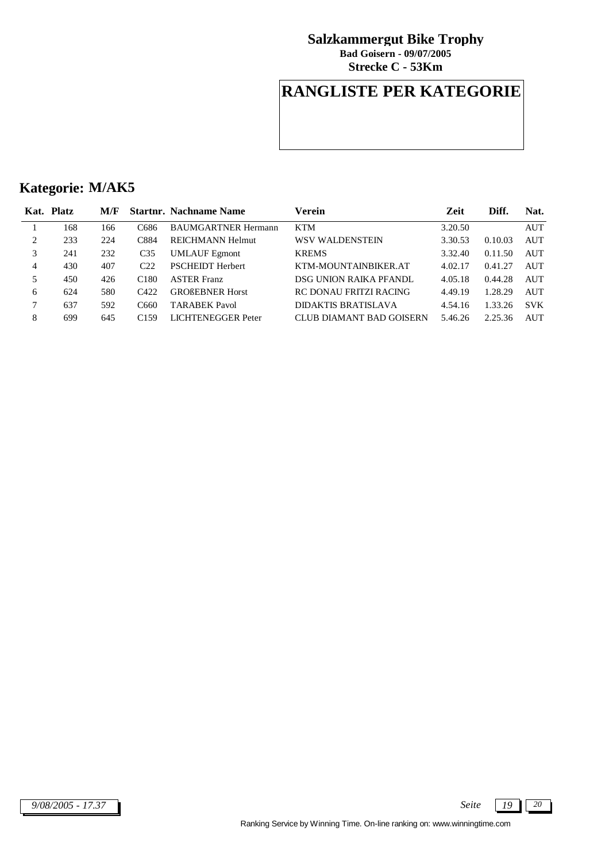**Strecke C - 53Km Bad Goisern - 09/07/2005**

## **RANGLISTE PER KATEGORIE**

|                | Kat. Platz | M/F |                  | <b>Startnr. Nachname Name</b> | Verein                     | Zeit    | Diff.   | Nat.       |
|----------------|------------|-----|------------------|-------------------------------|----------------------------|---------|---------|------------|
|                | 168        | 166 | C686             | <b>BAUMGARTNER Hermann</b>    | <b>KTM</b>                 | 3.20.50 |         | AUT        |
| 2              | 233        | 224 | C884             | <b>REICHMANN Helmut</b>       | WSV WALDENSTEIN            | 3.30.53 | 0.10.03 | <b>AUT</b> |
| 3              | 241        | 232 | C <sub>35</sub>  | <b>UMLAUF Egmont</b>          | <b>KREMS</b>               | 3.32.40 | 0.11.50 | <b>AUT</b> |
| $\overline{4}$ | 430        | 407 | C <sub>22</sub>  | <b>PSCHEIDT Herbert</b>       | KTM-MOUNTAINBIKER.AT       | 4.02.17 | 0.41.27 | AUT        |
| 5              | 450        | 426 | C <sub>180</sub> | <b>ASTER Franz</b>            | DSG UNION RAIKA PFANDL     | 4.05.18 | 0.44.28 | AUT        |
| 6              | 624        | 580 | $C_{422}$        | <b>GROßEBNER Horst</b>        | RC DONAU FRITZI RACING     | 4.49.19 | 1.28.29 | AUT        |
| 7              | 637        | 592 | C660             | <b>TARABEK Pavol</b>          | <b>DIDAKTIS BRATISLAVA</b> | 4.54.16 | 1.33.26 | <b>SVK</b> |
| 8              | 699        | 645 | C <sub>159</sub> | LICHTENEGGER Peter            | CLUB DIAMANT BAD GOISERN   | 5.46.26 | 2.25.36 | AUT        |